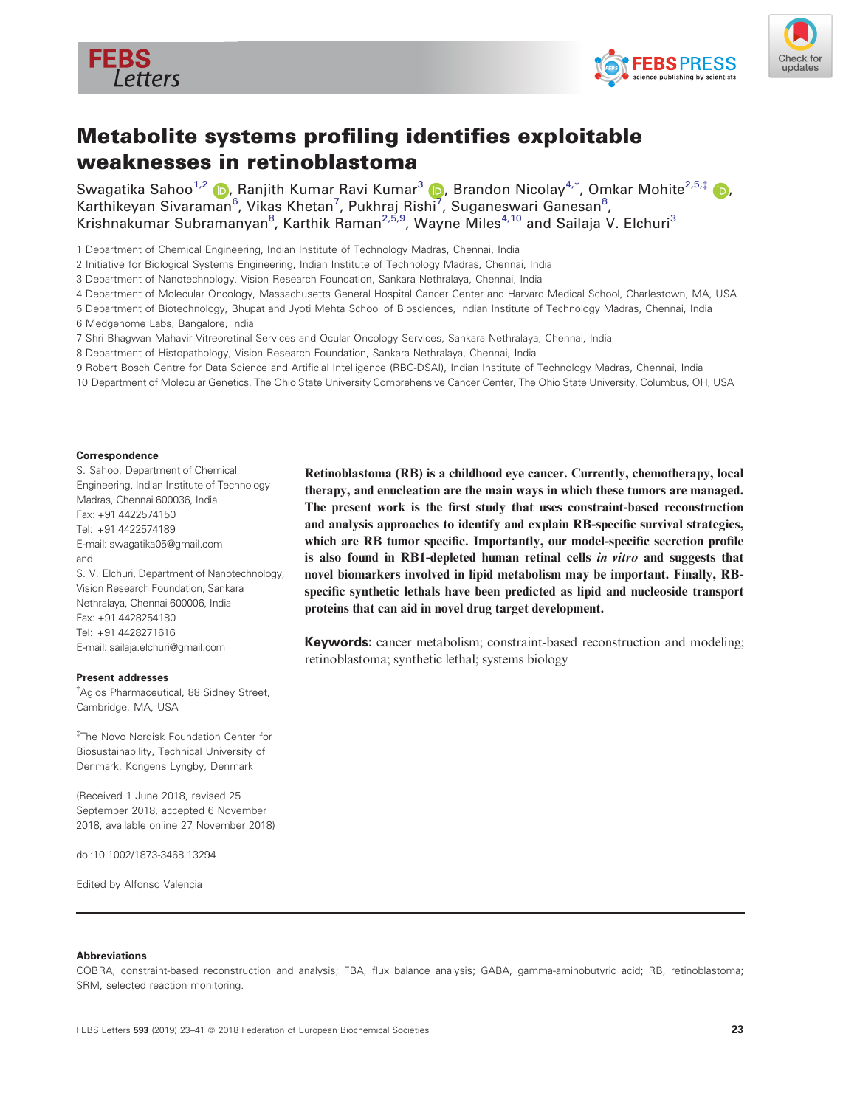





# Metabolite systems profiling identifies exploitable weaknesses in retinoblastoma

Swagatika Sahoo<sup>1,2</sup> (D, Ranjith Kumar Ravi Kumar<sup>[3](https://orcid.org/0000-0003-2809-948X)</sup> (D, Brandon Nicolay<sup>4,†</sup>, Omkar Mohite<sup>2,5,[‡](http://orcid.org/0000-0002-3240-1656)</sup> (D, Karthikeyan Sivaraman<sup>6</sup>, Vikas Khetan<sup>[7](https://orcid.org/0000-0003-2809-948X)</sup>, Pukhraj Rishi<sup>7</sup>, Suganeswari Ganesan<sup>8</sup>, Krishnakumar Subramanyan<sup>8</sup>, Karthik Raman<sup>2,5,9</sup>, Wayne Miles<sup>4,10</sup> and Sailaja V. Elchuri<sup>3</sup>

1 Department of Chemical Engineering, Indian Institute of Technology Madras, Chennai, India

2 Initiative for Biological Systems Engineering, Indian Institute of Technology Madras, Chennai, India

3 Department of Nanotechnology, Vision Research Foundation, Sankara Nethralaya, Chennai, India

- 4 Department of Molecular Oncology, Massachusetts General Hospital Cancer Center and Harvard Medical School, Charlestown, MA, USA
- 5 Department of Biotechnology, Bhupat and Jyoti Mehta School of Biosciences, Indian Institute of Technology Madras, Chennai, India

6 Medgenome Labs, Bangalore, India

7 Shri Bhagwan Mahavir Vitreoretinal Services and Ocular Oncology Services, Sankara Nethralaya, Chennai, India

8 Department of Histopathology, Vision Research Foundation, Sankara Nethralaya, Chennai, India

- 9 Robert Bosch Centre for Data Science and Artificial Intelligence (RBC-DSAI), Indian Institute of Technology Madras, Chennai, India
- 10 Department of Molecular Genetics, The Ohio State University Comprehensive Cancer Center, The Ohio State University, Columbus, OH, USA

#### Correspondence

S. Sahoo, Department of Chemical Engineering, Indian Institute of Technology Madras, Chennai 600036, India Fax: +91 4422574150 Tel: +91 4422574189 E-mail: [swagatika05@gmail.com](mailto:) and S. V. Elchuri, Department of Nanotechnology, Vision Research Foundation, Sankara Nethralaya, Chennai 600006, India Fax: +91 4428254180 Tel: +91 4428271616 E-mail: [sailaja.elchuri@gmail.com](mailto:)

#### Present addresses

† Agios Pharmaceutical, 88 Sidney Street, Cambridge, MA, USA

‡ The Novo Nordisk Foundation Center for Biosustainability, Technical University of Denmark, Kongens Lyngby, Denmark

(Received 1 June 2018, revised 25 September 2018, accepted 6 November 2018, available online 27 November 2018)

doi:10.1002/1873-3468.13294

Edited by Alfonso Valencia

Retinoblastoma (RB) is a childhood eye cancer. Currently, chemotherapy, local therapy, and enucleation are the main ways in which these tumors are managed. The present work is the first study that uses constraint-based reconstruction and analysis approaches to identify and explain RB-specific survival strategies, which are RB tumor specific. Importantly, our model-specific secretion profile is also found in RB1-depleted human retinal cells in vitro and suggests that novel biomarkers involved in lipid metabolism may be important. Finally, RBspecific synthetic lethals have been predicted as lipid and nucleoside transport proteins that can aid in novel drug target development.

Keywords: cancer metabolism; constraint-based reconstruction and modeling; retinoblastoma; synthetic lethal; systems biology

#### Abbreviations

COBRA, constraint-based reconstruction and analysis; FBA, flux balance analysis; GABA, gamma-aminobutyric acid; RB, retinoblastoma; SRM, selected reaction monitoring.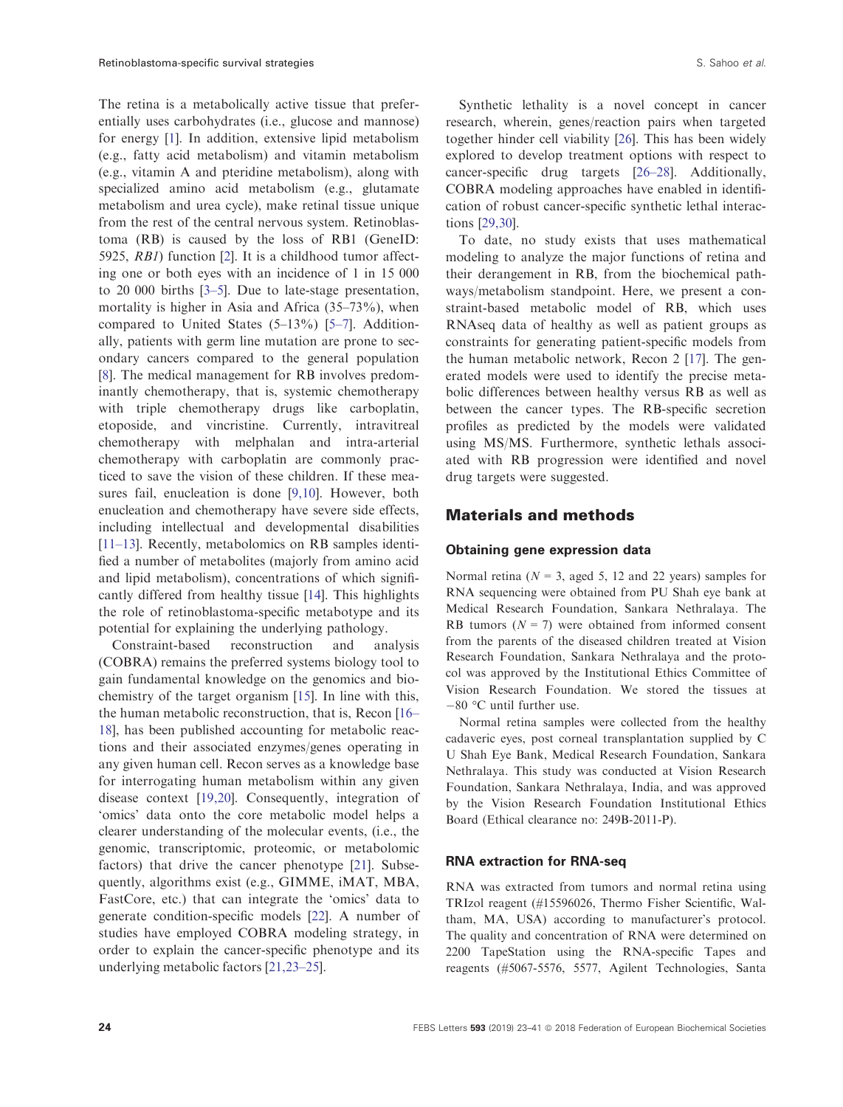The retina is a metabolically active tissue that preferentially uses carbohydrates (i.e., glucose and mannose) for energy [\[1\]](#page-14-0). In addition, extensive lipid metabolism (e.g., fatty acid metabolism) and vitamin metabolism (e.g., vitamin A and pteridine metabolism), along with specialized amino acid metabolism (e.g., glutamate metabolism and urea cycle), make retinal tissue unique from the rest of the central nervous system. Retinoblastoma (RB) is caused by the loss of RB1 (GeneID: 5925, RB1) function [\[2\]](#page-14-0). It is a childhood tumor affecting one or both eyes with an incidence of 1 in 15 000 to 20 000 births [[3](#page-14-0)–[5](#page-14-0)]. Due to late-stage presentation, mortality is higher in Asia and Africa (35–73%), when compared to United States (5–13%) [\[5](#page-14-0)–[7\]](#page-14-0). Additionally, patients with germ line mutation are prone to secondary cancers compared to the general population [\[8](#page-14-0)]. The medical management for RB involves predominantly chemotherapy, that is, systemic chemotherapy with triple chemotherapy drugs like carboplatin, etoposide, and vincristine. Currently, intravitreal chemotherapy with melphalan and intra-arterial chemotherapy with carboplatin are commonly practiced to save the vision of these children. If these measures fail, enucleation is done [\[9,10\]](#page-14-0). However, both enucleation and chemotherapy have severe side effects, including intellectual and developmental disabilities [\[11](#page-14-0)–13]. Recently, metabolomics on RB samples identified a number of metabolites (majorly from amino acid and lipid metabolism), concentrations of which significantly differed from healthy tissue [\[14\]](#page-14-0). This highlights the role of retinoblastoma-specific metabotype and its potential for explaining the underlying pathology.

Constraint-based reconstruction and analysis (COBRA) remains the preferred systems biology tool to gain fundamental knowledge on the genomics and biochemistry of the target organism [[15](#page-14-0)]. In line with this, the human metabolic reconstruction, that is, Recon [[16](#page-14-0)– [18](#page-14-0)], has been published accounting for metabolic reactions and their associated enzymes/genes operating in any given human cell. Recon serves as a knowledge base for interrogating human metabolism within any given disease context [[19,20](#page-14-0)]. Consequently, integration of 'omics' data onto the core metabolic model helps a clearer understanding of the molecular events, (i.e., the genomic, transcriptomic, proteomic, or metabolomic factors) that drive the cancer phenotype [\[21\]](#page-15-0). Subsequently, algorithms exist (e.g., GIMME, iMAT, MBA, FastCore, etc.) that can integrate the 'omics' data to generate condition-specific models [\[22\]](#page-15-0). A number of studies have employed COBRA modeling strategy, in order to explain the cancer-specific phenotype and its underlying metabolic factors [[21,23](#page-15-0)–25].

Synthetic lethality is a novel concept in cancer research, wherein, genes/reaction pairs when targeted together hinder cell viability [[26](#page-15-0)]. This has been widely explored to develop treatment options with respect to cancer-specific drug targets [[26](#page-15-0)–28]. Additionally, COBRA modeling approaches have enabled in identification of robust cancer-specific synthetic lethal interactions [\[29,30\]](#page-15-0).

To date, no study exists that uses mathematical modeling to analyze the major functions of retina and their derangement in RB, from the biochemical pathways/metabolism standpoint. Here, we present a constraint-based metabolic model of RB, which uses RNAseq data of healthy as well as patient groups as constraints for generating patient-specific models from the human metabolic network, Recon 2 [[17](#page-14-0)]. The generated models were used to identify the precise metabolic differences between healthy versus RB as well as between the cancer types. The RB-specific secretion profiles as predicted by the models were validated using MS/MS. Furthermore, synthetic lethals associated with RB progression were identified and novel drug targets were suggested.

## Materials and methods

## Obtaining gene expression data

Normal retina ( $N = 3$ , aged 5, 12 and 22 years) samples for RNA sequencing were obtained from PU Shah eye bank at Medical Research Foundation, Sankara Nethralaya. The RB tumors  $(N = 7)$  were obtained from informed consent from the parents of the diseased children treated at Vision Research Foundation, Sankara Nethralaya and the protocol was approved by the Institutional Ethics Committee of Vision Research Foundation. We stored the tissues at  $-80$  °C until further use.

Normal retina samples were collected from the healthy cadaveric eyes, post corneal transplantation supplied by C U Shah Eye Bank, Medical Research Foundation, Sankara Nethralaya. This study was conducted at Vision Research Foundation, Sankara Nethralaya, India, and was approved by the Vision Research Foundation Institutional Ethics Board (Ethical clearance no: 249B-2011-P).

#### RNA extraction for RNA-seq

RNA was extracted from tumors and normal retina using TRIzol reagent (#15596026, Thermo Fisher Scientific, Waltham, MA, USA) according to manufacturer's protocol. The quality and concentration of RNA were determined on 2200 TapeStation using the RNA-specific Tapes and reagents (#5067-5576, 5577, Agilent Technologies, Santa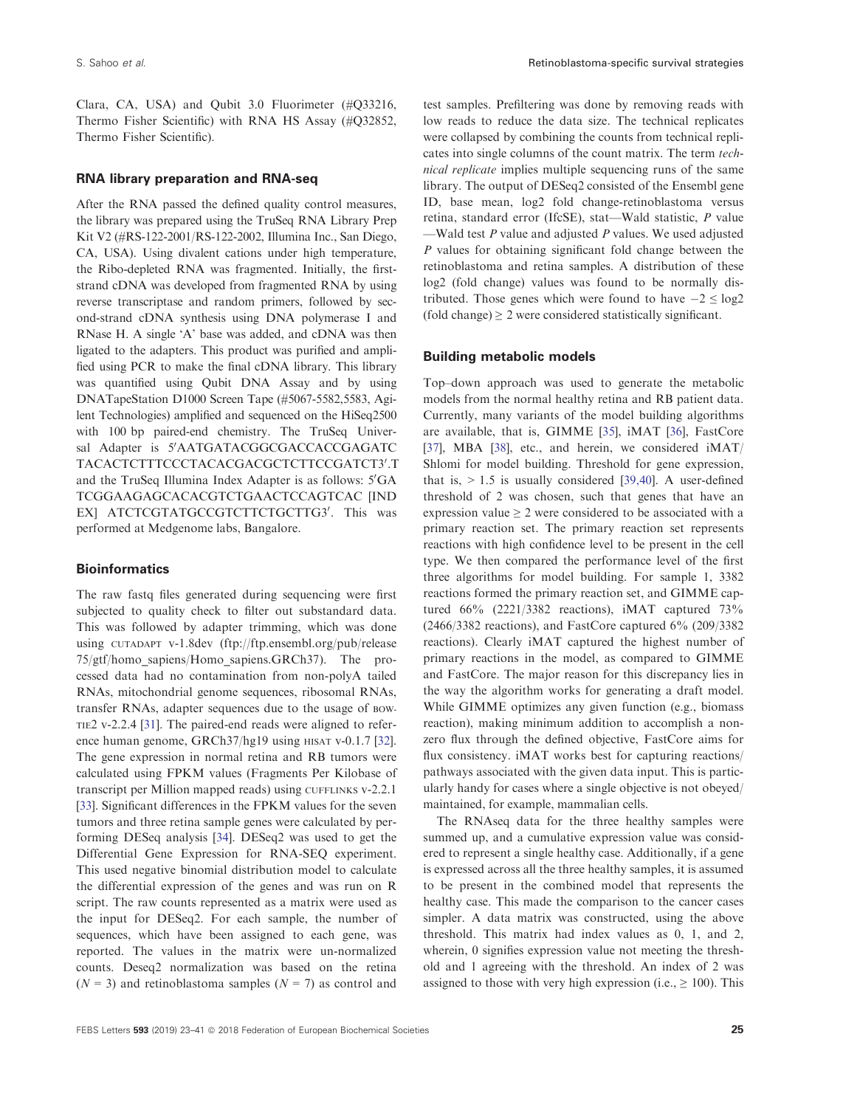Clara, CA, USA) and Qubit 3.0 Fluorimeter (#Q33216, Thermo Fisher Scientific) with RNA HS Assay (#Q32852, Thermo Fisher Scientific).

#### RNA library preparation and RNA-seq

After the RNA passed the defined quality control measures, the library was prepared using the TruSeq RNA Library Prep Kit V2 (#RS-122-2001/RS-122-2002, Illumina Inc., San Diego, CA, USA). Using divalent cations under high temperature, the Ribo-depleted RNA was fragmented. Initially, the firststrand cDNA was developed from fragmented RNA by using reverse transcriptase and random primers, followed by second-strand cDNA synthesis using DNA polymerase I and RNase H. A single 'A' base was added, and cDNA was then ligated to the adapters. This product was purified and amplified using PCR to make the final cDNA library. This library was quantified using Qubit DNA Assay and by using DNATapeStation D1000 Screen Tape (#5067-5582,5583, Agilent Technologies) amplified and sequenced on the HiSeq2500 with 100 bp paired-end chemistry. The TruSeq Universal Adapter is 5'AATGATACGGCGACCACCGAGATC TACACTCTTTCCCTACACGACGCTCTTCCGATCT3′.T and the TruSeq Illumina Index Adapter is as follows: 5'GA TCGGAAGAGCACACGTCTGAACTCCAGTCAC [IND EX] ATCTCGTATGCCGTCTTCTGCTTG3'. This was performed at Medgenome labs, Bangalore.

## **Bioinformatics**

The raw fastq files generated during sequencing were first subjected to quality check to filter out substandard data. This was followed by adapter trimming, which was done using CUTADAPT v-1.8dev [\(ftp://ftp.ensembl.org/pub/release](ftp://ftp.ensembl.org/pub/release75/gtf/homo_sapiens/Homo_sapiens.GRCh37) [75/gtf/homo\\_sapiens/Homo\\_sapiens.GRCh37\)](ftp://ftp.ensembl.org/pub/release75/gtf/homo_sapiens/Homo_sapiens.GRCh37). The processed data had no contamination from non-polyA tailed RNAs, mitochondrial genome sequences, ribosomal RNAs, transfer RNAs, adapter sequences due to the usage of BOW-TIE2 v-2.2.4 [[31](#page-15-0)]. The paired-end reads were aligned to refer-ence human genome, GRCh37/hg19 using HISAT v-0.1.7 [[32\]](#page-15-0). The gene expression in normal retina and RB tumors were calculated using FPKM values (Fragments Per Kilobase of transcript per Million mapped reads) using CUFFLINKS v-2.2.1 [\[33\]](#page-15-0). Significant differences in the FPKM values for the seven tumors and three retina sample genes were calculated by performing DESeq analysis [[34\]](#page-15-0). DESeq2 was used to get the Differential Gene Expression for RNA-SEQ experiment. This used negative binomial distribution model to calculate the differential expression of the genes and was run on R script. The raw counts represented as a matrix were used as the input for DESeq2. For each sample, the number of sequences, which have been assigned to each gene, was reported. The values in the matrix were un-normalized counts. Deseq2 normalization was based on the retina  $(N = 3)$  and retinoblastoma samples  $(N = 7)$  as control and

test samples. Prefiltering was done by removing reads with low reads to reduce the data size. The technical replicates were collapsed by combining the counts from technical replicates into single columns of the count matrix. The term technical replicate implies multiple sequencing runs of the same library. The output of DESeq2 consisted of the Ensembl gene ID, base mean, log2 fold change-retinoblastoma versus retina, standard error (IfcSE), stat—Wald statistic, P value —Wald test  $P$  value and adjusted  $P$  values. We used adjusted P values for obtaining significant fold change between the retinoblastoma and retina samples. A distribution of these log2 (fold change) values was found to be normally distributed. Those genes which were found to have  $-2 \le \log 2$  $(fold change) \geq 2$  were considered statistically significant.

#### Building metabolic models

Top–down approach was used to generate the metabolic models from the normal healthy retina and RB patient data. Currently, many variants of the model building algorithms are available, that is, GIMME [[35](#page-15-0)], iMAT [\[36](#page-15-0)], FastCore [\[37](#page-15-0)], MBA [\[38\]](#page-15-0), etc., and herein, we considered iMAT/ Shlomi for model building. Threshold for gene expression, that is,  $> 1.5$  is usually considered [[39,40\]](#page-15-0). A user-defined threshold of 2 was chosen, such that genes that have an expression value  $\geq 2$  were considered to be associated with a primary reaction set. The primary reaction set represents reactions with high confidence level to be present in the cell type. We then compared the performance level of the first three algorithms for model building. For sample 1, 3382 reactions formed the primary reaction set, and GIMME captured 66% (2221/3382 reactions), iMAT captured 73% (2466/3382 reactions), and FastCore captured 6% (209/3382 reactions). Clearly iMAT captured the highest number of primary reactions in the model, as compared to GIMME and FastCore. The major reason for this discrepancy lies in the way the algorithm works for generating a draft model. While GIMME optimizes any given function (e.g., biomass reaction), making minimum addition to accomplish a nonzero flux through the defined objective, FastCore aims for flux consistency. iMAT works best for capturing reactions/ pathways associated with the given data input. This is particularly handy for cases where a single objective is not obeyed/ maintained, for example, mammalian cells.

The RNAseq data for the three healthy samples were summed up, and a cumulative expression value was considered to represent a single healthy case. Additionally, if a gene is expressed across all the three healthy samples, it is assumed to be present in the combined model that represents the healthy case. This made the comparison to the cancer cases simpler. A data matrix was constructed, using the above threshold. This matrix had index values as 0, 1, and 2, wherein, 0 signifies expression value not meeting the threshold and 1 agreeing with the threshold. An index of 2 was assigned to those with very high expression (i.e.,  $\geq 100$ ). This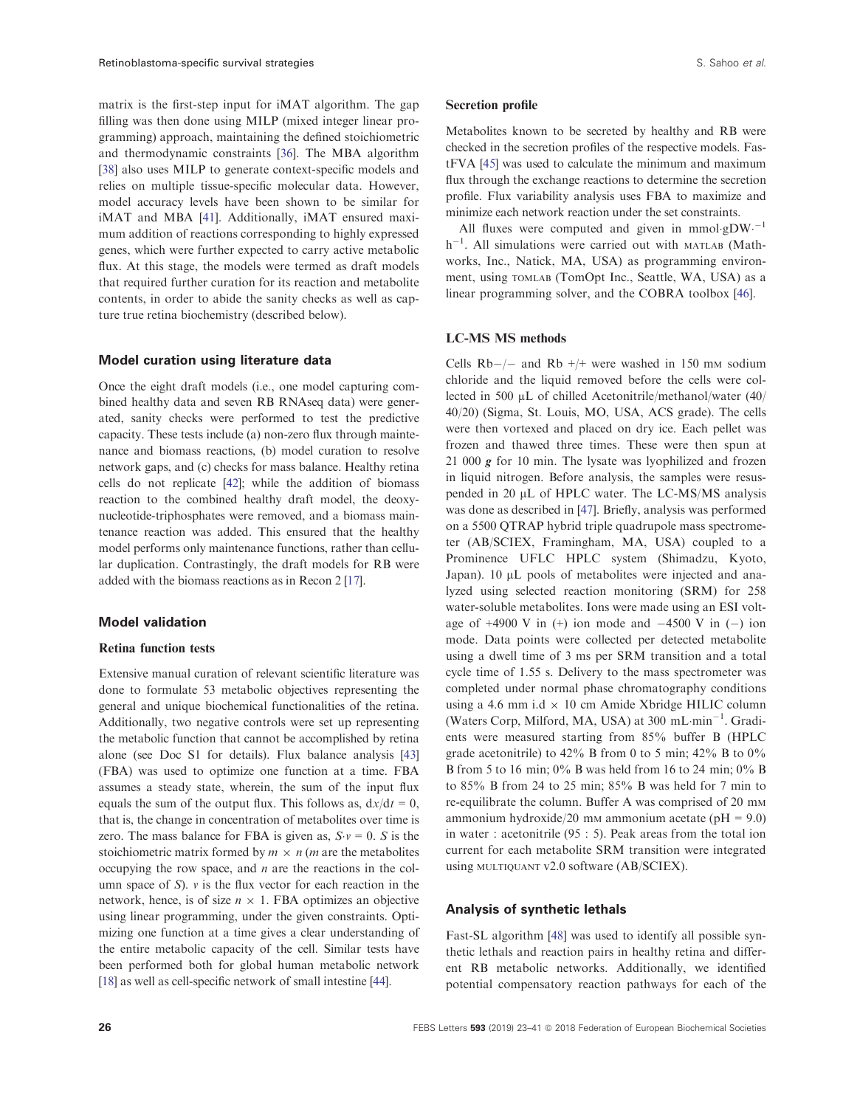matrix is the first-step input for iMAT algorithm. The gap filling was then done using MILP (mixed integer linear programming) approach, maintaining the defined stoichiometric and thermodynamic constraints [\[36\]](#page-15-0). The MBA algorithm [\[38\]](#page-15-0) also uses MILP to generate context-specific models and relies on multiple tissue-specific molecular data. However, model accuracy levels have been shown to be similar for iMAT and MBA [\[41\]](#page-15-0). Additionally, iMAT ensured maximum addition of reactions corresponding to highly expressed genes, which were further expected to carry active metabolic flux. At this stage, the models were termed as draft models that required further curation for its reaction and metabolite contents, in order to abide the sanity checks as well as capture true retina biochemistry (described below).

#### Model curation using literature data

Once the eight draft models (i.e., one model capturing combined healthy data and seven RB RNAseq data) were generated, sanity checks were performed to test the predictive capacity. These tests include (a) non-zero flux through maintenance and biomass reactions, (b) model curation to resolve network gaps, and (c) checks for mass balance. Healthy retina cells do not replicate [[42](#page-15-0)]; while the addition of biomass reaction to the combined healthy draft model, the deoxynucleotide-triphosphates were removed, and a biomass maintenance reaction was added. This ensured that the healthy model performs only maintenance functions, rather than cellular duplication. Contrastingly, the draft models for RB were added with the biomass reactions as in Recon 2 [\[17\]](#page-14-0).

#### Model validation

#### Retina function tests

Extensive manual curation of relevant scientific literature was done to formulate 53 metabolic objectives representing the general and unique biochemical functionalities of the retina. Additionally, two negative controls were set up representing the metabolic function that cannot be accomplished by retina alone (see Doc S1 for details). Flux balance analysis [\[43\]](#page-15-0) (FBA) was used to optimize one function at a time. FBA assumes a steady state, wherein, the sum of the input flux equals the sum of the output flux. This follows as,  $dx/dt = 0$ , that is, the change in concentration of metabolites over time is zero. The mass balance for FBA is given as,  $S \nu = 0$ . S is the stoichiometric matrix formed by  $m \times n$  (*m* are the metabolites occupying the row space, and  $n$  are the reactions in the column space of  $S$ ).  $\nu$  is the flux vector for each reaction in the network, hence, is of size  $n \times 1$ . FBA optimizes an objective using linear programming, under the given constraints. Optimizing one function at a time gives a clear understanding of the entire metabolic capacity of the cell. Similar tests have been performed both for global human metabolic network [\[18\]](#page-14-0) as well as cell-specific network of small intestine [[44](#page-15-0)].

#### Secretion profile

Metabolites known to be secreted by healthy and RB were checked in the secretion profiles of the respective models. FastFVA [\[45\]](#page-15-0) was used to calculate the minimum and maximum flux through the exchange reactions to determine the secretion profile. Flux variability analysis uses FBA to maximize and minimize each network reaction under the set constraints.

All fluxes were computed and given in mmol-gDW $^{-1}$  $h^{-1}$ . All simulations were carried out with MATLAB (Mathworks, Inc., Natick, MA, USA) as programming environment, using TOMLAB (TomOpt Inc., Seattle, WA, USA) as a linear programming solver, and the COBRA toolbox [[46](#page-15-0)].

## LC-MS MS methods

Cells  $Rb-/-$  and  $Rb +/+$  were washed in 150 mm sodium chloride and the liquid removed before the cells were collected in 500 µL of chilled Acetonitrile/methanol/water (40/ 40/20) (Sigma, St. Louis, MO, USA, ACS grade). The cells were then vortexed and placed on dry ice. Each pellet was frozen and thawed three times. These were then spun at 21 000  $g$  for 10 min. The lysate was lyophilized and frozen in liquid nitrogen. Before analysis, the samples were resuspended in 20 µL of HPLC water. The LC-MS/MS analysis was done as described in [\[47\]](#page-15-0). Briefly, analysis was performed on a 5500 QTRAP hybrid triple quadrupole mass spectrometer (AB/SCIEX, Framingham, MA, USA) coupled to a Prominence UFLC HPLC system (Shimadzu, Kyoto, Japan).  $10 \mu L$  pools of metabolites were injected and analyzed using selected reaction monitoring (SRM) for 258 water-soluble metabolites. Ions were made using an ESI voltage of  $+4900$  V in  $(+)$  ion mode and  $-4500$  V in  $(-)$  ion mode. Data points were collected per detected metabolite using a dwell time of 3 ms per SRM transition and a total cycle time of 1.55 s. Delivery to the mass spectrometer was completed under normal phase chromatography conditions using a 4.6 mm i.d  $\times$  10 cm Amide Xbridge HILIC column (Waters Corp, Milford, MA, USA) at  $300 \text{ mL-min}^{-1}$ . Gradients were measured starting from 85% buffer B (HPLC grade acetonitrile) to 42% B from 0 to 5 min; 42% B to  $0\%$ B from 5 to 16 min;  $0\%$  B was held from 16 to 24 min;  $0\%$  B to 85% B from 24 to 25 min; 85% B was held for 7 min to re-equilibrate the column. Buffer A was comprised of 20 mm ammonium hydroxide/20 mm ammonium acetate ( $pH = 9.0$ ) in water : acetonitrile (95 : 5). Peak areas from the total ion current for each metabolite SRM transition were integrated using MULTIQUANT v2.0 software (AB/SCIEX).

## Analysis of synthetic lethals

Fast-SL algorithm [\[48](#page-15-0)] was used to identify all possible synthetic lethals and reaction pairs in healthy retina and different RB metabolic networks. Additionally, we identified potential compensatory reaction pathways for each of the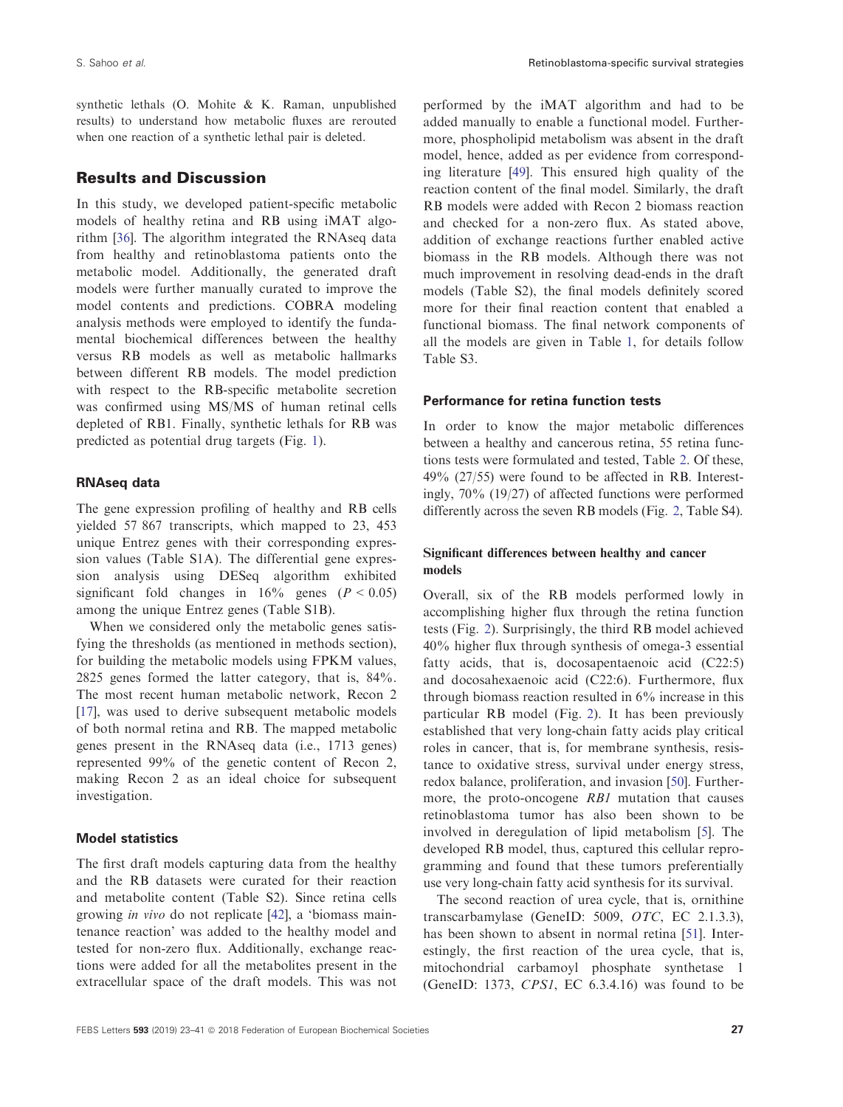synthetic lethals (O. Mohite & K. Raman, unpublished results) to understand how metabolic fluxes are rerouted when one reaction of a synthetic lethal pair is deleted.

# Results and Discussion

In this study, we developed patient-specific metabolic models of healthy retina and RB using iMAT algorithm [\[36\]](#page-15-0). The algorithm integrated the RNAseq data from healthy and retinoblastoma patients onto the metabolic model. Additionally, the generated draft models were further manually curated to improve the model contents and predictions. COBRA modeling analysis methods were employed to identify the fundamental biochemical differences between the healthy versus RB models as well as metabolic hallmarks between different RB models. The model prediction with respect to the RB-specific metabolite secretion was confirmed using MS/MS of human retinal cells depleted of RB1. Finally, synthetic lethals for RB was predicted as potential drug targets (Fig. [1\)](#page-5-0).

## RNAseq data

The gene expression profiling of healthy and RB cells yielded 57 867 transcripts, which mapped to 23, 453 unique Entrez genes with their corresponding expression values (Table S1A). The differential gene expression analysis using DESeq algorithm exhibited significant fold changes in  $16\%$  genes ( $P < 0.05$ ) among the unique Entrez genes (Table S1B).

When we considered only the metabolic genes satisfying the thresholds (as mentioned in methods section), for building the metabolic models using FPKM values, 2825 genes formed the latter category, that is, 84%. The most recent human metabolic network, Recon 2 [\[17\]](#page-14-0), was used to derive subsequent metabolic models of both normal retina and RB. The mapped metabolic genes present in the RNAseq data (i.e., 1713 genes) represented 99% of the genetic content of Recon 2, making Recon 2 as an ideal choice for subsequent investigation.

#### Model statistics

The first draft models capturing data from the healthy and the RB datasets were curated for their reaction and metabolite content (Table S2). Since retina cells growing in vivo do not replicate [[42](#page-15-0)], a 'biomass maintenance reaction' was added to the healthy model and tested for non-zero flux. Additionally, exchange reactions were added for all the metabolites present in the extracellular space of the draft models. This was not

performed by the iMAT algorithm and had to be added manually to enable a functional model. Furthermore, phospholipid metabolism was absent in the draft model, hence, added as per evidence from corresponding literature [\[49\]](#page-16-0). This ensured high quality of the reaction content of the final model. Similarly, the draft RB models were added with Recon 2 biomass reaction and checked for a non-zero flux. As stated above, addition of exchange reactions further enabled active biomass in the RB models. Although there was not much improvement in resolving dead-ends in the draft models (Table S2), the final models definitely scored more for their final reaction content that enabled a functional biomass. The final network components of all the models are given in Table [1](#page-5-0), for details follow Table S3.

## Performance for retina function tests

In order to know the major metabolic differences between a healthy and cancerous retina, 55 retina functions tests were formulated and tested, Table [2](#page-6-0). Of these, 49% (27/55) were found to be affected in RB. Interestingly, 70% (19/27) of affected functions were performed differently across the seven RB models (Fig. [2](#page-9-0), Table S4).

# Significant differences between healthy and cancer models

Overall, six of the RB models performed lowly in accomplishing higher flux through the retina function tests (Fig. [2\)](#page-9-0). Surprisingly, the third RB model achieved 40% higher flux through synthesis of omega-3 essential fatty acids, that is, docosapentaenoic acid (C22:5) and docosahexaenoic acid (C22:6). Furthermore, flux through biomass reaction resulted in 6% increase in this particular RB model (Fig. [2](#page-9-0)). It has been previously established that very long-chain fatty acids play critical roles in cancer, that is, for membrane synthesis, resistance to oxidative stress, survival under energy stress, redox balance, proliferation, and invasion [[50](#page-16-0)]. Furthermore, the proto-oncogene RB1 mutation that causes retinoblastoma tumor has also been shown to be involved in deregulation of lipid metabolism [\[5](#page-14-0)]. The developed RB model, thus, captured this cellular reprogramming and found that these tumors preferentially use very long-chain fatty acid synthesis for its survival.

The second reaction of urea cycle, that is, ornithine transcarbamylase (GeneID: 5009, OTC, [EC 2.1.3.3\)](http://www.chem.qmul.ac.uk/iubmb/enzyme/EC2/1/3/3.html), has been shown to absent in normal retina [\[51\]](#page-16-0). Interestingly, the first reaction of the urea cycle, that is, mitochondrial carbamoyl phosphate synthetase 1 (GeneID: 1373, CPS1, [EC 6.3.4.16](http://www.chem.qmul.ac.uk/iubmb/enzyme/EC6/3/4/16.html)) was found to be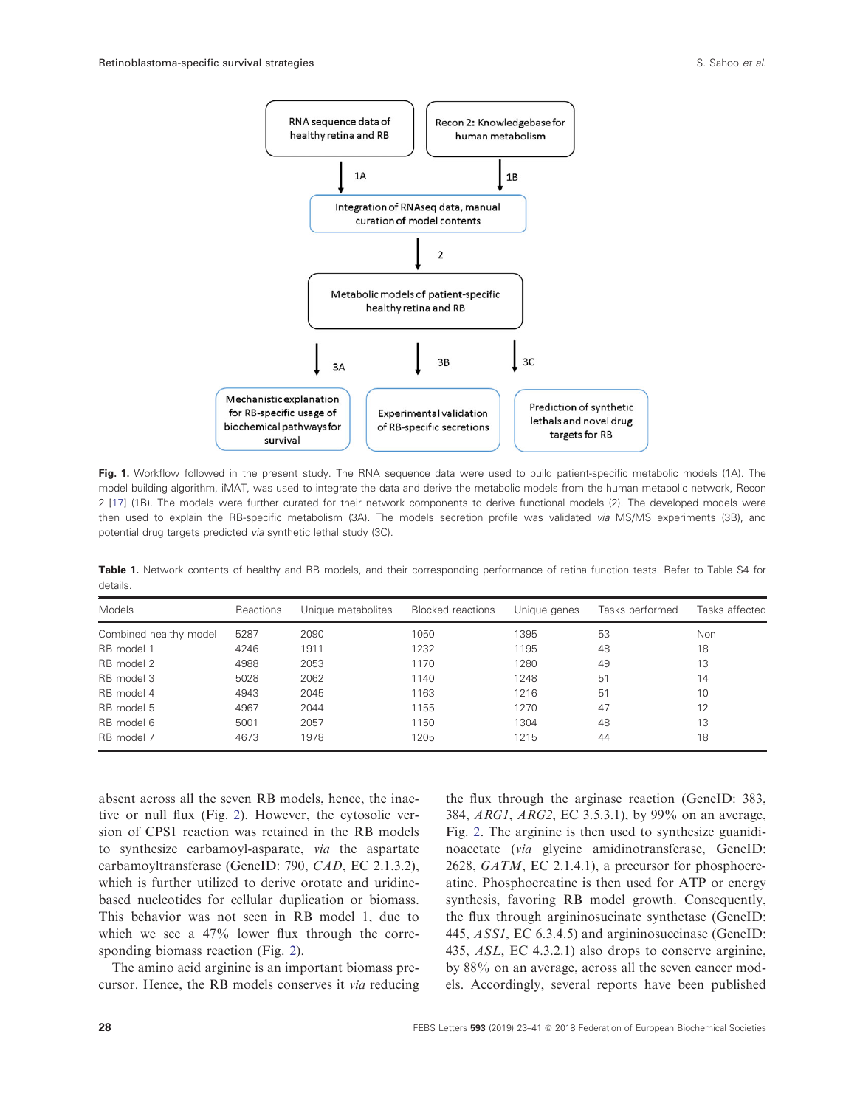<span id="page-5-0"></span>

Fig. 1. Workflow followed in the present study. The RNA sequence data were used to build patient-specific metabolic models (1A). The model building algorithm, iMAT, was used to integrate the data and derive the metabolic models from the human metabolic network, Recon 2 [\[17](#page-14-0)] (1B). The models were further curated for their network components to derive functional models (2). The developed models were then used to explain the RB-specific metabolism (3A). The models secretion profile was validated via MS/MS experiments (3B), and potential drug targets predicted via synthetic lethal study (3C).

Table 1. Network contents of healthy and RB models, and their corresponding performance of retina function tests. Refer to Table S4 for details.

| Models                 | Reactions | Unique metabolites | <b>Blocked reactions</b> | Unique genes | Tasks performed | Tasks affected |
|------------------------|-----------|--------------------|--------------------------|--------------|-----------------|----------------|
| Combined healthy model | 5287      | 2090               | 1050                     | 1395         | 53              | Non            |
| RB model 1             | 4246      | 1911               | 1232                     | 1195         | 48              | 18             |
| RB model 2             | 4988      | 2053               | 1170                     | 1280         | 49              | 13             |
| RB model 3             | 5028      | 2062               | 1140                     | 1248         | 51              | 14             |
| RB model 4             | 4943      | 2045               | 1163                     | 1216         | 51              | 10             |
| RB model 5             | 4967      | 2044               | 1155                     | 1270         | 47              | 12             |
| RB model 6             | 5001      | 2057               | 1150                     | 1304         | 48              | 13             |
| RB model 7             | 4673      | 1978               | 1205                     | 1215         | 44              | 18             |

absent across all the seven RB models, hence, the inactive or null flux (Fig. [2\)](#page-9-0). However, the cytosolic version of CPS1 reaction was retained in the RB models to synthesize carbamoyl-asparate, via the aspartate carbamoyltransferase (GeneID: 790, CAD, [EC 2.1.3.2](http://www.chem.qmul.ac.uk/iubmb/enzyme/EC2/1/3/2.html)), which is further utilized to derive orotate and uridinebased nucleotides for cellular duplication or biomass. This behavior was not seen in RB model 1, due to which we see a 47% lower flux through the corresponding biomass reaction (Fig. [2](#page-9-0)).

The amino acid arginine is an important biomass precursor. Hence, the RB models conserves it via reducing

the flux through the arginase reaction (GeneID: 383, 384, ARG1, ARG2, [EC 3.5.3.1](http://www.chem.qmul.ac.uk/iubmb/enzyme/EC3/5/3/1.html)), by 99% on an average, Fig. [2](#page-9-0). The arginine is then used to synthesize guanidinoacetate (via glycine amidinotransferase, GeneID: 2628, GATM, [EC 2.1.4.1\)](http://www.chem.qmul.ac.uk/iubmb/enzyme/EC2/1/4/1.html), a precursor for phosphocreatine. Phosphocreatine is then used for ATP or energy synthesis, favoring RB model growth. Consequently, the flux through argininosucinate synthetase (GeneID: 445, ASS1, [EC 6.3.4.5](http://www.chem.qmul.ac.uk/iubmb/enzyme/EC6/3/4/5.html)) and argininosuccinase (GeneID: 435, ASL, [EC 4.3.2.1](http://www.chem.qmul.ac.uk/iubmb/enzyme/EC4/3/2/1.html)) also drops to conserve arginine, by 88% on an average, across all the seven cancer models. Accordingly, several reports have been published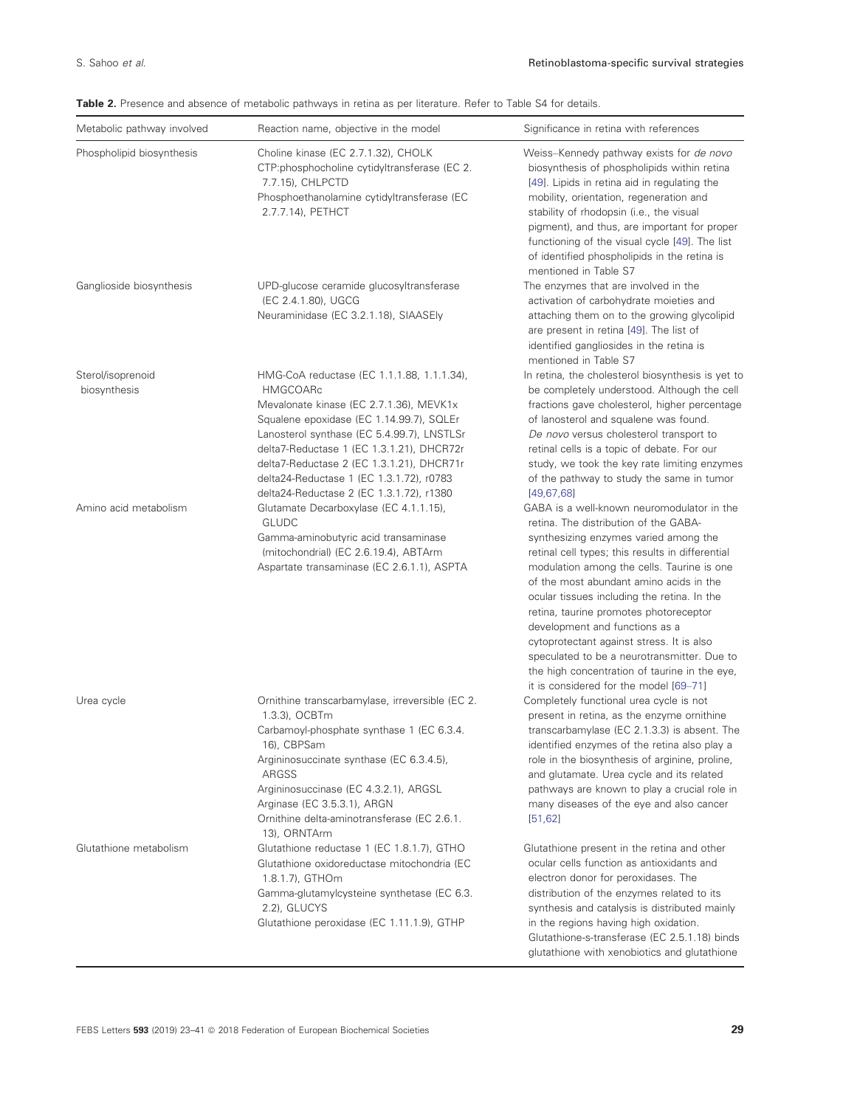<span id="page-6-0"></span>

| Table 2. Presence and absence of metabolic pathways in retina as per literature. Refer to Table S4 for details. |  |  |  |  |
|-----------------------------------------------------------------------------------------------------------------|--|--|--|--|
|-----------------------------------------------------------------------------------------------------------------|--|--|--|--|

| Metabolic pathway involved        | Reaction name, objective in the model                                                                                                                                                                                                                                                                                                                                                | Significance in retina with references                                                                                                                                                                                                                                                                                                                                                                                                                                                                                                                                                      |
|-----------------------------------|--------------------------------------------------------------------------------------------------------------------------------------------------------------------------------------------------------------------------------------------------------------------------------------------------------------------------------------------------------------------------------------|---------------------------------------------------------------------------------------------------------------------------------------------------------------------------------------------------------------------------------------------------------------------------------------------------------------------------------------------------------------------------------------------------------------------------------------------------------------------------------------------------------------------------------------------------------------------------------------------|
| Phospholipid biosynthesis         | Choline kinase (EC 2.7.1.32), CHOLK<br>CTP:phosphocholine cytidyltransferase (EC 2.<br>7.7.15), CHLPCTD<br>Phosphoethanolamine cytidyltransferase (EC<br>2.7.7.14), PETHCT                                                                                                                                                                                                           | Weiss-Kennedy pathway exists for de novo<br>biosynthesis of phospholipids within retina<br>[49]. Lipids in retina aid in regulating the<br>mobility, orientation, regeneration and<br>stability of rhodopsin (i.e., the visual<br>pigment), and thus, are important for proper<br>functioning of the visual cycle [49]. The list<br>of identified phospholipids in the retina is<br>mentioned in Table S7                                                                                                                                                                                   |
| Ganglioside biosynthesis          | UPD-glucose ceramide glucosyltransferase<br>(EC 2.4.1.80), UGCG<br>Neuraminidase (EC 3.2.1.18), SIAASEly                                                                                                                                                                                                                                                                             | The enzymes that are involved in the<br>activation of carbohydrate moieties and<br>attaching them on to the growing glycolipid<br>are present in retina [49]. The list of<br>identified gangliosides in the retina is<br>mentioned in Table S7                                                                                                                                                                                                                                                                                                                                              |
| Sterol/isoprenoid<br>biosynthesis | HMG-CoA reductase (EC 1.1.1.88, 1.1.1.34),<br><b>HMGCOARc</b><br>Mevalonate kinase (EC 2.7.1.36), MEVK1x<br>Squalene epoxidase (EC 1.14.99.7), SQLEr<br>Lanosterol synthase (EC 5.4.99.7), LNSTLSr<br>delta7-Reductase 1 (EC 1.3.1.21), DHCR72r<br>delta7-Reductase 2 (EC 1.3.1.21), DHCR71r<br>delta24-Reductase 1 (EC 1.3.1.72), r0783<br>delta24-Reductase 2 (EC 1.3.1.72), r1380 | In retina, the cholesterol biosynthesis is yet to<br>be completely understood. Although the cell<br>fractions gave cholesterol, higher percentage<br>of lanosterol and squalene was found.<br>De novo versus cholesterol transport to<br>retinal cells is a topic of debate. For our<br>study, we took the key rate limiting enzymes<br>of the pathway to study the same in tumor<br>[49, 67, 68]                                                                                                                                                                                           |
| Amino acid metabolism             | Glutamate Decarboxylase (EC 4.1.1.15),<br><b>GLUDC</b><br>Gamma-aminobutyric acid transaminase<br>(mitochondrial) (EC 2.6.19.4), ABTArm<br>Aspartate transaminase (EC 2.6.1.1), ASPTA                                                                                                                                                                                                | GABA is a well-known neuromodulator in the<br>retina. The distribution of the GABA-<br>synthesizing enzymes varied among the<br>retinal cell types; this results in differential<br>modulation among the cells. Taurine is one<br>of the most abundant amino acids in the<br>ocular tissues including the retina. In the<br>retina, taurine promotes photoreceptor<br>development and functions as a<br>cytoprotectant against stress. It is also<br>speculated to be a neurotransmitter. Due to<br>the high concentration of taurine in the eye,<br>it is considered for the model [69-71] |
| Urea cycle                        | Ornithine transcarbamylase, irreversible (EC 2.<br>1.3.3), OCBTm<br>Carbamoyl-phosphate synthase 1 (EC 6.3.4.<br>16), CBPSam<br>Argininosuccinate synthase (EC 6.3.4.5),<br>ARGSS<br>Argininosuccinase (EC 4.3.2.1), ARGSL<br>Arginase (EC 3.5.3.1), ARGN<br>Ornithine delta-aminotransferase (EC 2.6.1.<br>13), ORNTArm                                                             | Completely functional urea cycle is not<br>present in retina, as the enzyme ornithine<br>transcarbamylase (EC 2.1.3.3) is absent. The<br>identified enzymes of the retina also play a<br>role in the biosynthesis of arginine, proline,<br>and glutamate. Urea cycle and its related<br>pathways are known to play a crucial role in<br>many diseases of the eye and also cancer<br>[51, 62]                                                                                                                                                                                                |
| Glutathione metabolism            | Glutathione reductase 1 (EC 1.8.1.7), GTHO<br>Glutathione oxidoreductase mitochondria (EC<br>1.8.1.7), GTHOm<br>Gamma-glutamylcysteine synthetase (EC 6.3.<br>2.2), GLUCYS<br>Glutathione peroxidase (EC 1.11.1.9), GTHP                                                                                                                                                             | Glutathione present in the retina and other<br>ocular cells function as antioxidants and<br>electron donor for peroxidases. The<br>distribution of the enzymes related to its<br>synthesis and catalysis is distributed mainly<br>in the regions having high oxidation.<br>Glutathione-s-transferase (EC 2.5.1.18) binds<br>glutathione with xenobiotics and glutathione                                                                                                                                                                                                                    |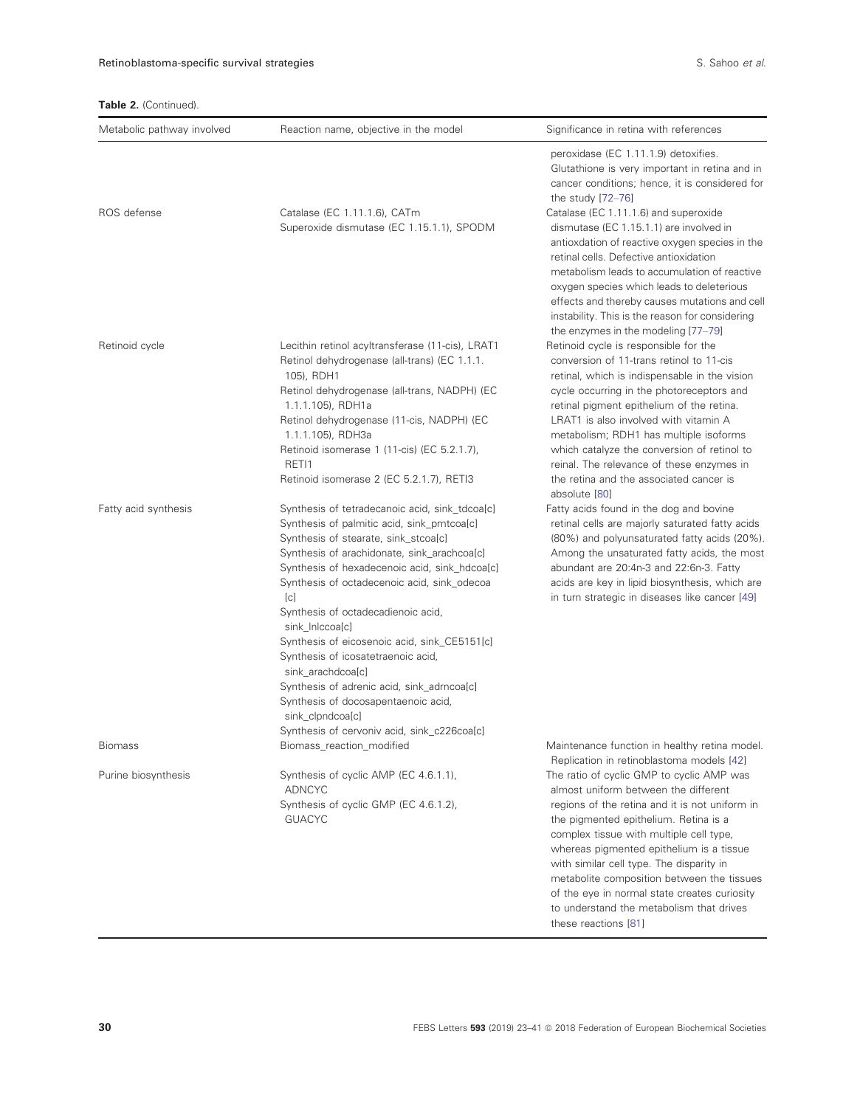## Table 2. (Continued).

| Metabolic pathway involved | Reaction name, objective in the model                                                                                                                                                                                                                                                                                                                                                                                                                                                                                                                                                                                  | Significance in retina with references                                                                                                                                                                                                                                                                                                                                                                                                                                            |
|----------------------------|------------------------------------------------------------------------------------------------------------------------------------------------------------------------------------------------------------------------------------------------------------------------------------------------------------------------------------------------------------------------------------------------------------------------------------------------------------------------------------------------------------------------------------------------------------------------------------------------------------------------|-----------------------------------------------------------------------------------------------------------------------------------------------------------------------------------------------------------------------------------------------------------------------------------------------------------------------------------------------------------------------------------------------------------------------------------------------------------------------------------|
|                            |                                                                                                                                                                                                                                                                                                                                                                                                                                                                                                                                                                                                                        | peroxidase (EC 1.11.1.9) detoxifies.<br>Glutathione is very important in retina and in<br>cancer conditions; hence, it is considered for<br>the study $[72-76]$                                                                                                                                                                                                                                                                                                                   |
| ROS defense                | Catalase (EC 1.11.1.6), CATm<br>Superoxide dismutase (EC 1.15.1.1), SPODM                                                                                                                                                                                                                                                                                                                                                                                                                                                                                                                                              | Catalase (EC 1.11.1.6) and superoxide<br>dismutase (EC 1.15.1.1) are involved in<br>antioxdation of reactive oxygen species in the<br>retinal cells. Defective antioxidation<br>metabolism leads to accumulation of reactive<br>oxygen species which leads to deleterious<br>effects and thereby causes mutations and cell<br>instability. This is the reason for considering<br>the enzymes in the modeling [77-79]                                                              |
| Retinoid cycle             | Lecithin retinol acyltransferase (11-cis), LRAT1<br>Retinol dehydrogenase (all-trans) (EC 1.1.1.<br>105), RDH1<br>Retinol dehydrogenase (all-trans, NADPH) (EC<br>1.1.1.105), RDH1a<br>Retinol dehydrogenase (11-cis, NADPH) (EC<br>1.1.1.105), RDH3a<br>Retinoid isomerase 1 (11-cis) (EC 5.2.1.7),<br>RETI1<br>Retinoid isomerase 2 (EC 5.2.1.7), RETI3                                                                                                                                                                                                                                                              | Retinoid cycle is responsible for the<br>conversion of 11-trans retinol to 11-cis<br>retinal, which is indispensable in the vision<br>cycle occurring in the photoreceptors and<br>retinal pigment epithelium of the retina.<br>LRAT1 is also involved with vitamin A<br>metabolism; RDH1 has multiple isoforms<br>which catalyze the conversion of retinol to<br>reinal. The relevance of these enzymes in<br>the retina and the associated cancer is<br>absolute [80]           |
| Fatty acid synthesis       | Synthesis of tetradecanoic acid, sink_tdcoa[c]<br>Synthesis of palmitic acid, sink_pmtcoa[c]<br>Synthesis of stearate, sink_stcoa[c]<br>Synthesis of arachidonate, sink_arachcoa[c]<br>Synthesis of hexadecenoic acid, sink_hdcoa[c]<br>Synthesis of octadecenoic acid, sink_odecoa<br>[c]<br>Synthesis of octadecadienoic acid,<br>sink_InIccoa[c]<br>Synthesis of eicosenoic acid, sink_CE5151[c]<br>Synthesis of icosatetraenoic acid,<br>sink_arachdcoa[c]<br>Synthesis of adrenic acid, sink_adrncoa[c]<br>Synthesis of docosapentaenoic acid,<br>sink_clpndcoa[c]<br>Synthesis of cervoniv acid, sink_c226coa[c] | Fatty acids found in the dog and bovine<br>retinal cells are majorly saturated fatty acids<br>(80%) and polyunsaturated fatty acids (20%).<br>Among the unsaturated fatty acids, the most<br>abundant are 20:4n-3 and 22:6n-3. Fatty<br>acids are key in lipid biosynthesis, which are<br>in turn strategic in diseases like cancer [49]                                                                                                                                          |
| Biomass                    | Biomass_reaction_modified                                                                                                                                                                                                                                                                                                                                                                                                                                                                                                                                                                                              | Maintenance function in healthy retina model.<br>Replication in retinoblastoma models [42]                                                                                                                                                                                                                                                                                                                                                                                        |
| Purine biosynthesis        | Synthesis of cyclic AMP (EC 4.6.1.1),<br><b>ADNCYC</b><br>Synthesis of cyclic GMP (EC 4.6.1.2),<br><b>GUACYC</b>                                                                                                                                                                                                                                                                                                                                                                                                                                                                                                       | The ratio of cyclic GMP to cyclic AMP was<br>almost uniform between the different<br>regions of the retina and it is not uniform in<br>the pigmented epithelium. Retina is a<br>complex tissue with multiple cell type,<br>whereas pigmented epithelium is a tissue<br>with similar cell type. The disparity in<br>metabolite composition between the tissues<br>of the eye in normal state creates curiosity<br>to understand the metabolism that drives<br>these reactions [81] |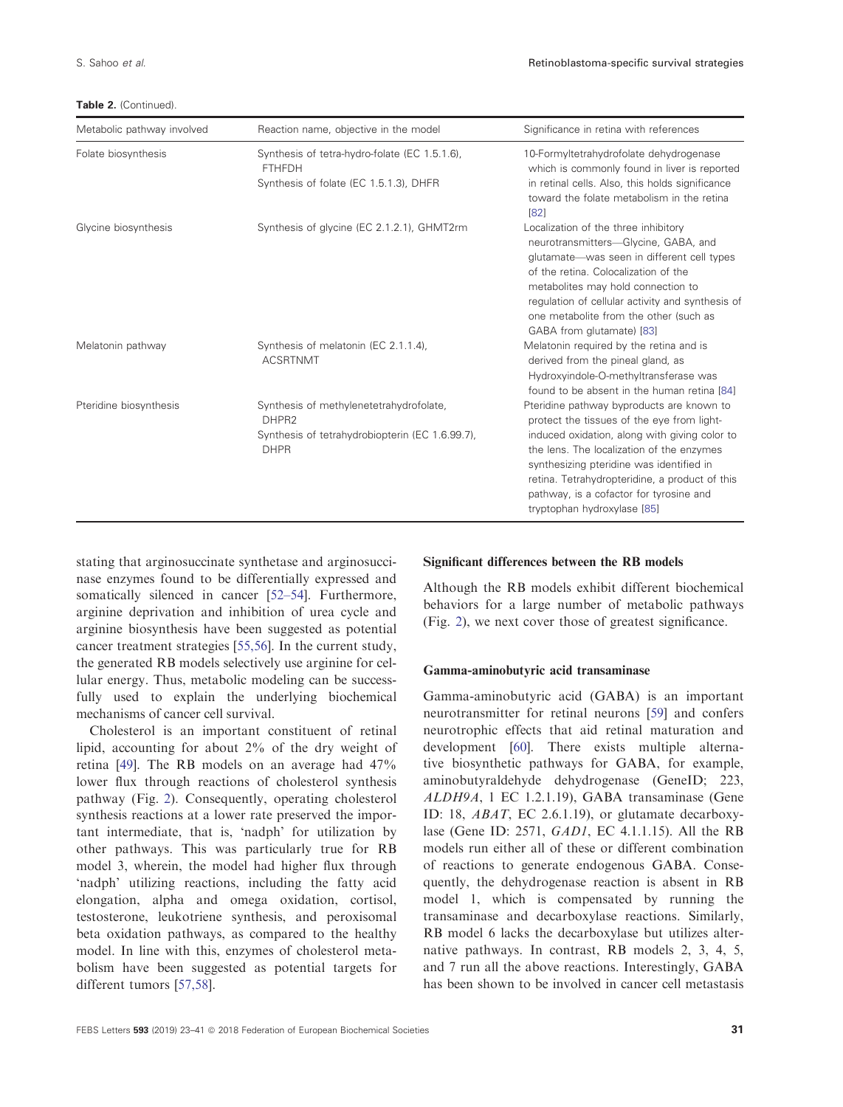Table 2. (Continued).

| Metabolic pathway involved | Reaction name, objective in the model                                                                                          | Significance in retina with references                                                                                                                                                                                                                                                                                                                        |
|----------------------------|--------------------------------------------------------------------------------------------------------------------------------|---------------------------------------------------------------------------------------------------------------------------------------------------------------------------------------------------------------------------------------------------------------------------------------------------------------------------------------------------------------|
| Folate biosynthesis        | Synthesis of tetra-hydro-folate (EC 1.5.1.6),<br><b>FTHFDH</b><br>Synthesis of folate (EC 1.5.1.3), DHFR                       | 10-Formyltetrahydrofolate dehydrogenase<br>which is commonly found in liver is reported<br>in retinal cells. Also, this holds significance<br>toward the folate metabolism in the retina<br>[82]                                                                                                                                                              |
| Glycine biosynthesis       | Synthesis of glycine (EC 2.1.2.1), GHMT2rm                                                                                     | Localization of the three inhibitory<br>neurotransmitters-Glycine, GABA, and<br>glutamate-was seen in different cell types<br>of the retina. Colocalization of the<br>metabolites may hold connection to<br>regulation of cellular activity and synthesis of<br>one metabolite from the other (such as<br>GABA from glutamate) [83]                           |
| Melatonin pathway          | Synthesis of melatonin (EC 2.1.1.4),<br><b>ACSRTNMT</b>                                                                        | Melatonin required by the retina and is<br>derived from the pineal gland, as<br>Hydroxyindole-O-methyltransferase was<br>found to be absent in the human retina [84]                                                                                                                                                                                          |
| Pteridine biosynthesis     | Synthesis of methylenetetrahydrofolate,<br>DHPR <sub>2</sub><br>Synthesis of tetrahydrobiopterin (EC 1.6.99.7),<br><b>DHPR</b> | Pteridine pathway byproducts are known to<br>protect the tissues of the eye from light-<br>induced oxidation, along with giving color to<br>the lens. The localization of the enzymes<br>synthesizing pteridine was identified in<br>retina. Tetrahydropteridine, a product of this<br>pathway, is a cofactor for tyrosine and<br>tryptophan hydroxylase [85] |

stating that arginosuccinate synthetase and arginosuccinase enzymes found to be differentially expressed and somatically silenced in cancer [\[52](#page-16-0)–[54\]](#page-16-0). Furthermore, arginine deprivation and inhibition of urea cycle and arginine biosynthesis have been suggested as potential cancer treatment strategies [\[55,56\]](#page-16-0). In the current study, the generated RB models selectively use arginine for cellular energy. Thus, metabolic modeling can be successfully used to explain the underlying biochemical mechanisms of cancer cell survival.

Cholesterol is an important constituent of retinal lipid, accounting for about 2% of the dry weight of retina [[49](#page-16-0)]. The RB models on an average had 47% lower flux through reactions of cholesterol synthesis pathway (Fig. [2\)](#page-9-0). Consequently, operating cholesterol synthesis reactions at a lower rate preserved the important intermediate, that is, 'nadph' for utilization by other pathways. This was particularly true for RB model 3, wherein, the model had higher flux through 'nadph' utilizing reactions, including the fatty acid elongation, alpha and omega oxidation, cortisol, testosterone, leukotriene synthesis, and peroxisomal beta oxidation pathways, as compared to the healthy model. In line with this, enzymes of cholesterol metabolism have been suggested as potential targets for different tumors [[57,58](#page-16-0)].

## Significant differences between the RB models

Although the RB models exhibit different biochemical behaviors for a large number of metabolic pathways (Fig. [2\)](#page-9-0), we next cover those of greatest significance.

#### Gamma-aminobutyric acid transaminase

Gamma-aminobutyric acid (GABA) is an important neurotransmitter for retinal neurons [[59\]](#page-16-0) and confers neurotrophic effects that aid retinal maturation and development [[60](#page-16-0)]. There exists multiple alternative biosynthetic pathways for GABA, for example, aminobutyraldehyde dehydrogenase (GeneID; 223, ALDH9A, 1 [EC 1.2.1.19\)](http://www.chem.qmul.ac.uk/iubmb/enzyme/EC1/2/1/19.html), GABA transaminase (Gene ID: 18, ABAT, [EC 2.6.1.19](http://www.chem.qmul.ac.uk/iubmb/enzyme/EC2/6/1/19.html)), or glutamate decarboxylase (Gene ID: 2571, GAD1, [EC 4.1.1.15\)](http://www.chem.qmul.ac.uk/iubmb/enzyme/EC4/1/1/15.html). All the RB models run either all of these or different combination of reactions to generate endogenous GABA. Consequently, the dehydrogenase reaction is absent in RB model 1, which is compensated by running the transaminase and decarboxylase reactions. Similarly, RB model 6 lacks the decarboxylase but utilizes alternative pathways. In contrast, RB models 2, 3, 4, 5, and 7 run all the above reactions. Interestingly, GABA has been shown to be involved in cancer cell metastasis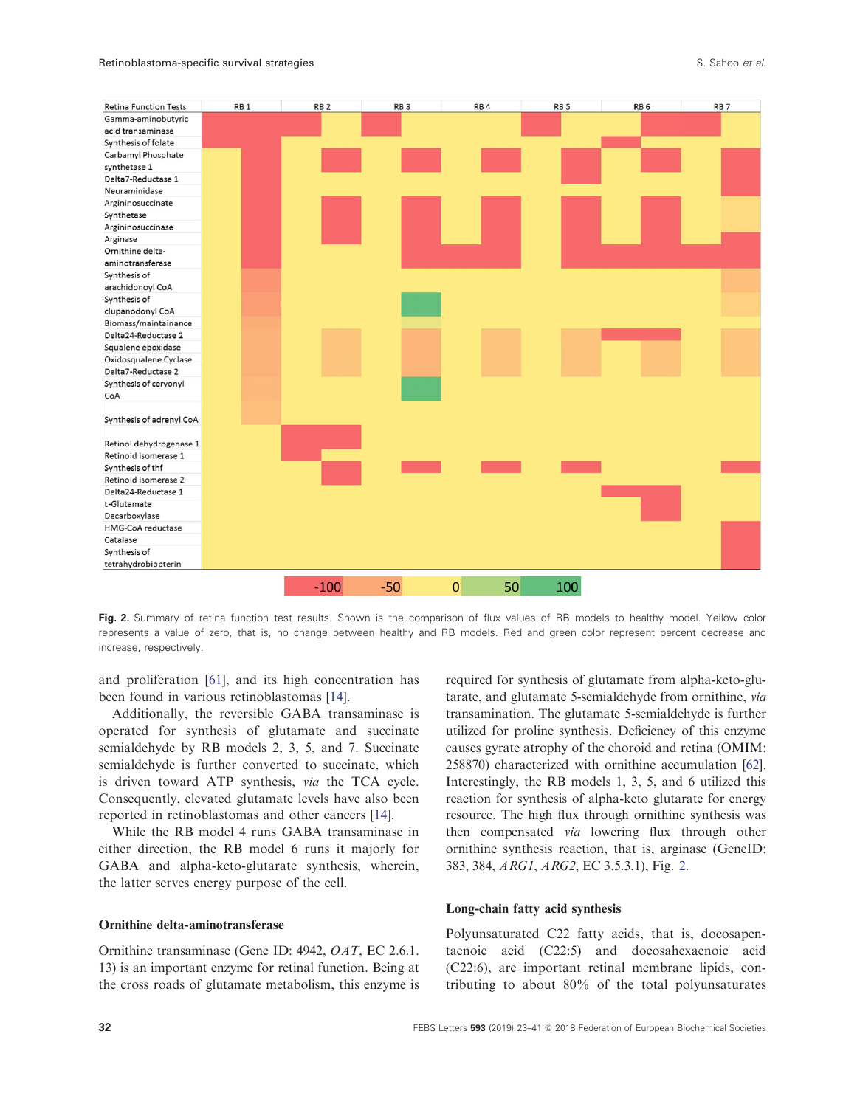<span id="page-9-0"></span>

Fig. 2. Summary of retina function test results. Shown is the comparison of flux values of RB models to healthy model. Yellow color represents a value of zero, that is, no change between healthy and RB models. Red and green color represent percent decrease and increase, respectively.

and proliferation [[61\]](#page-16-0), and its high concentration has been found in various retinoblastomas [\[14](#page-14-0)].

Additionally, the reversible GABA transaminase is operated for synthesis of glutamate and succinate semialdehyde by RB models 2, 3, 5, and 7. Succinate semialdehyde is further converted to succinate, which is driven toward ATP synthesis, via the TCA cycle. Consequently, elevated glutamate levels have also been reported in retinoblastomas and other cancers [\[14\]](#page-14-0).

While the RB model 4 runs GABA transaminase in either direction, the RB model 6 runs it majorly for GABA and alpha-keto-glutarate synthesis, wherein, the latter serves energy purpose of the cell.

#### Ornithine delta-aminotransferase

Ornithine transaminase (Gene ID: 4942, OAT, [EC 2.6.1.](http://www.chem.qmul.ac.uk/iubmb/enzyme/EC2/6/1/13.html) [13\)](http://www.chem.qmul.ac.uk/iubmb/enzyme/EC2/6/1/13.html) is an important enzyme for retinal function. Being at the cross roads of glutamate metabolism, this enzyme is

required for synthesis of glutamate from alpha-keto-glutarate, and glutamate 5-semialdehyde from ornithine, via transamination. The glutamate 5-semialdehyde is further utilized for proline synthesis. Deficiency of this enzyme causes gyrate atrophy of the choroid and retina (OMIM: 258870) characterized with ornithine accumulation [\[62](#page-16-0)]. Interestingly, the RB models 1, 3, 5, and 6 utilized this reaction for synthesis of alpha-keto glutarate for energy resource. The high flux through ornithine synthesis was then compensated via lowering flux through other ornithine synthesis reaction, that is, arginase (GeneID: 383, 384, ARG1, ARG2, [EC 3.5.3.1\)](http://www.chem.qmul.ac.uk/iubmb/enzyme/EC3/5/3/1.html), Fig. 2.

## Long-chain fatty acid synthesis

Polyunsaturated C22 fatty acids, that is, docosapentaenoic acid (C22:5) and docosahexaenoic acid (C22:6), are important retinal membrane lipids, contributing to about 80% of the total polyunsaturates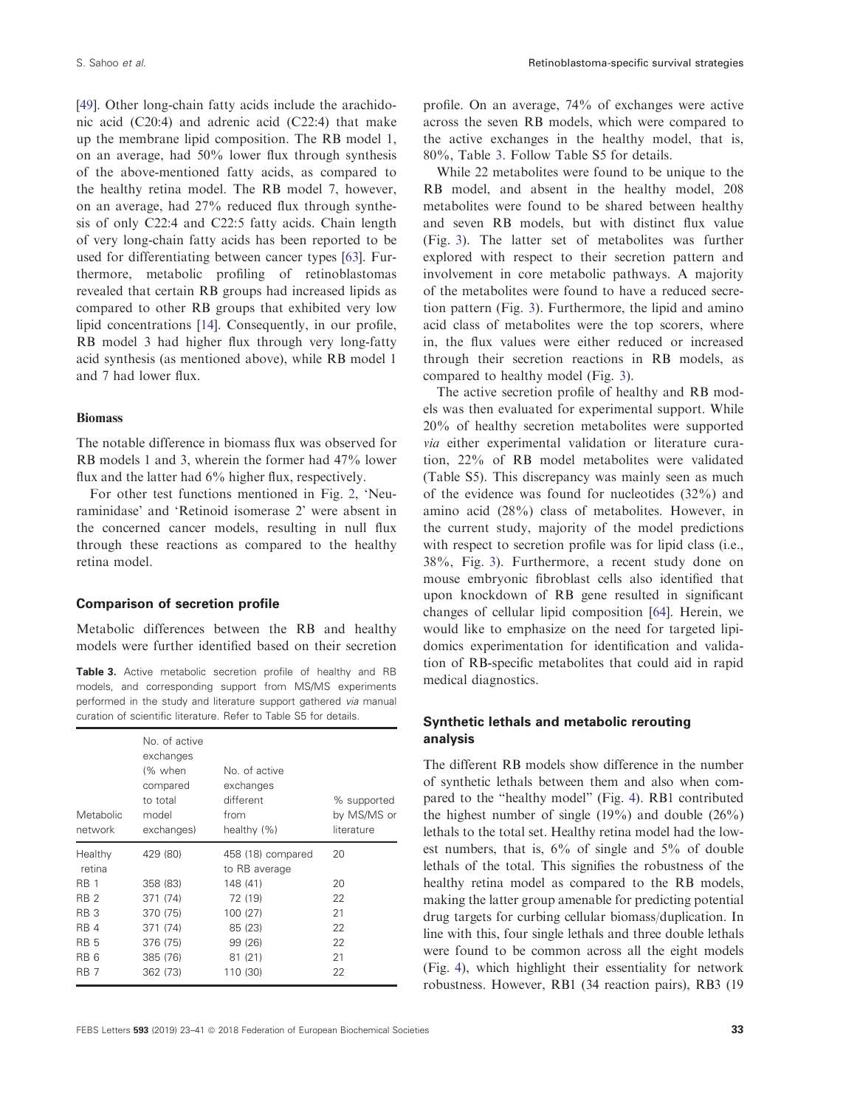[\[49\]](#page-16-0). Other long-chain fatty acids include the arachidonic acid (C20:4) and adrenic acid (C22:4) that make up the membrane lipid composition. The RB model 1, on an average, had 50% lower flux through synthesis of the above-mentioned fatty acids, as compared to the healthy retina model. The RB model 7, however, on an average, had 27% reduced flux through synthesis of only C22:4 and C22:5 fatty acids. Chain length of very long-chain fatty acids has been reported to be used for differentiating between cancer types [\[63](#page-16-0)]. Furthermore, metabolic profiling of retinoblastomas revealed that certain RB groups had increased lipids as compared to other RB groups that exhibited very low lipid concentrations [[14](#page-14-0)]. Consequently, in our profile, RB model 3 had higher flux through very long-fatty acid synthesis (as mentioned above), while RB model 1 and 7 had lower flux.

#### Biomass

The notable difference in biomass flux was observed for RB models 1 and 3, wherein the former had 47% lower flux and the latter had 6% higher flux, respectively.

For other test functions mentioned in Fig. [2,](#page-9-0) 'Neuraminidase' and 'Retinoid isomerase 2' were absent in the concerned cancer models, resulting in null flux through these reactions as compared to the healthy retina model.

#### Comparison of secretion profile

Metabolic differences between the RB and healthy models were further identified based on their secretion

Table 3. Active metabolic secretion profile of healthy and RB models, and corresponding support from MS/MS experiments performed in the study and literature support gathered via manual curation of scientific literature. Refer to Table S5 for details.

| Metabolic<br>network | No. of active<br>exchanges<br>(% when<br>compared<br>to total<br>model<br>exchanges) | No. of active<br>exchanges<br>different<br>from<br>healthy (%) | % supported<br>by MS/MS or<br>literature |
|----------------------|--------------------------------------------------------------------------------------|----------------------------------------------------------------|------------------------------------------|
| Healthy              | 429 (80)                                                                             | 458 (18) compared                                              | 20                                       |
| retina               |                                                                                      | to RB average                                                  |                                          |
| <b>RB</b> 1          | 358 (83)                                                                             | 148 (41)                                                       | 20                                       |
| <b>RB 2</b>          | 371 (74)                                                                             | 72 (19)                                                        | 22                                       |
| <b>RB3</b>           | 370 (75)                                                                             | 100 (27)                                                       | 21                                       |
| RB <sub>4</sub>      | 371 (74)                                                                             | 85 (23)                                                        | 22                                       |
| <b>RB5</b>           | 376 (75)                                                                             | 99 (26)                                                        | 22                                       |
| RB <sub>6</sub>      | 385 (76)                                                                             | 81 (21)                                                        | 21                                       |
| RB 7                 | 362 (73)                                                                             | 110 (30)                                                       | 22                                       |

profile. On an average, 74% of exchanges were active across the seven RB models, which were compared to the active exchanges in the healthy model, that is, 80%, Table 3. Follow Table S5 for details.

While 22 metabolites were found to be unique to the RB model, and absent in the healthy model, 208 metabolites were found to be shared between healthy and seven RB models, but with distinct flux value (Fig. [3\)](#page-11-0). The latter set of metabolites was further explored with respect to their secretion pattern and involvement in core metabolic pathways. A majority of the metabolites were found to have a reduced secretion pattern (Fig. [3](#page-11-0)). Furthermore, the lipid and amino acid class of metabolites were the top scorers, where in, the flux values were either reduced or increased through their secretion reactions in RB models, as compared to healthy model (Fig. [3](#page-11-0)).

The active secretion profile of healthy and RB models was then evaluated for experimental support. While 20% of healthy secretion metabolites were supported via either experimental validation or literature curation, 22% of RB model metabolites were validated (Table S5). This discrepancy was mainly seen as much of the evidence was found for nucleotides (32%) and amino acid (28%) class of metabolites. However, in the current study, majority of the model predictions with respect to secretion profile was for lipid class (i.e., 38%, Fig. [3](#page-11-0)). Furthermore, a recent study done on mouse embryonic fibroblast cells also identified that upon knockdown of RB gene resulted in significant changes of cellular lipid composition [\[64\]](#page-16-0). Herein, we would like to emphasize on the need for targeted lipidomics experimentation for identification and validation of RB-specific metabolites that could aid in rapid medical diagnostics.

# Synthetic lethals and metabolic rerouting analysis

The different RB models show difference in the number of synthetic lethals between them and also when compared to the "healthy model" (Fig. [4](#page-12-0)). RB1 contributed the highest number of single  $(19\%)$  and double  $(26\%)$ lethals to the total set. Healthy retina model had the lowest numbers, that is, 6% of single and 5% of double lethals of the total. This signifies the robustness of the healthy retina model as compared to the RB models, making the latter group amenable for predicting potential drug targets for curbing cellular biomass/duplication. In line with this, four single lethals and three double lethals were found to be common across all the eight models (Fig. [4\)](#page-12-0), which highlight their essentiality for network robustness. However, RB1 (34 reaction pairs), RB3 (19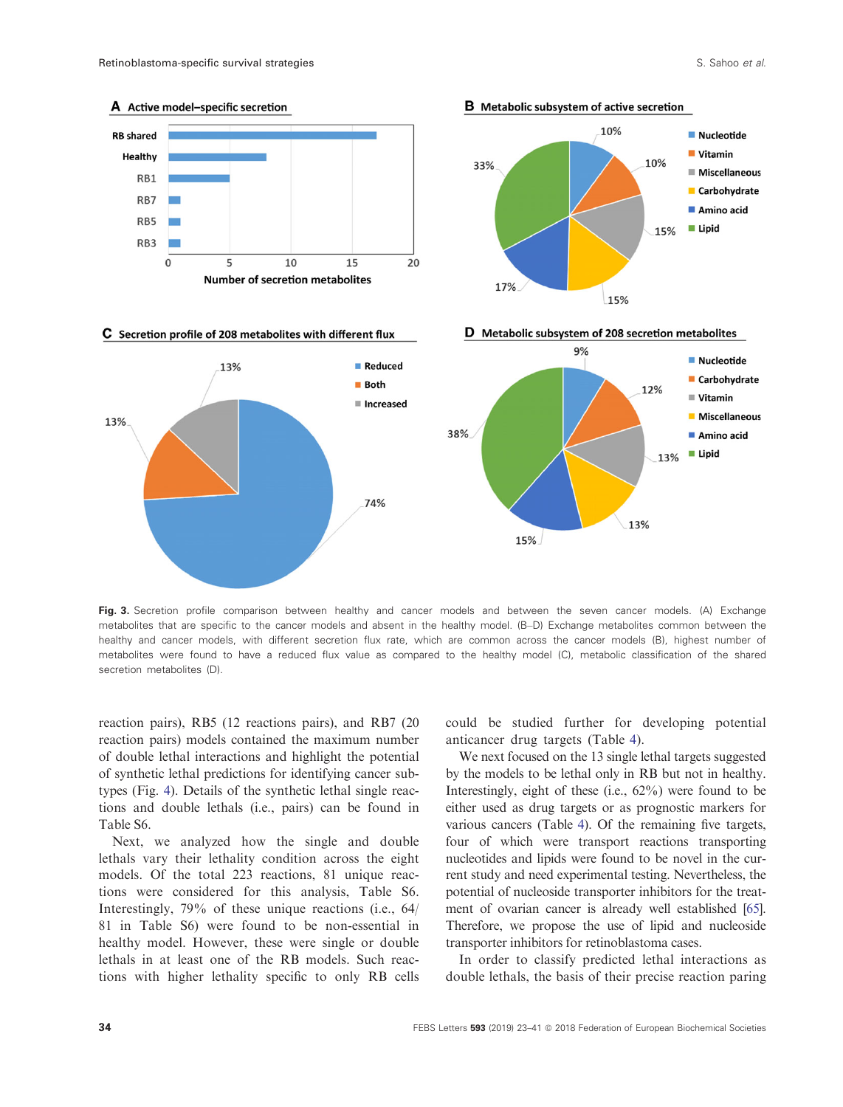<span id="page-11-0"></span>

Fig. 3. Secretion profile comparison between healthy and cancer models and between the seven cancer models. (A) Exchange metabolites that are specific to the cancer models and absent in the healthy model. (B–D) Exchange metabolites common between the healthy and cancer models, with different secretion flux rate, which are common across the cancer models (B), highest number of metabolites were found to have a reduced flux value as compared to the healthy model (C), metabolic classification of the shared secretion metabolites (D).

reaction pairs), RB5 (12 reactions pairs), and RB7 (20 reaction pairs) models contained the maximum number of double lethal interactions and highlight the potential of synthetic lethal predictions for identifying cancer subtypes (Fig. [4](#page-12-0)). Details of the synthetic lethal single reactions and double lethals (i.e., pairs) can be found in Table S6.

Next, we analyzed how the single and double lethals vary their lethality condition across the eight models. Of the total 223 reactions, 81 unique reactions were considered for this analysis, Table S6. Interestingly, 79% of these unique reactions (i.e., 64/ 81 in Table S6) were found to be non-essential in healthy model. However, these were single or double lethals in at least one of the RB models. Such reactions with higher lethality specific to only RB cells

could be studied further for developing potential anticancer drug targets (Table [4\)](#page-13-0).

We next focused on the 13 single lethal targets suggested by the models to be lethal only in RB but not in healthy. Interestingly, eight of these (i.e., 62%) were found to be either used as drug targets or as prognostic markers for various cancers (Table [4\)](#page-13-0). Of the remaining five targets, four of which were transport reactions transporting nucleotides and lipids were found to be novel in the current study and need experimental testing. Nevertheless, the potential of nucleoside transporter inhibitors for the treatment of ovarian cancer is already well established [\[65](#page-16-0)]. Therefore, we propose the use of lipid and nucleoside transporter inhibitors for retinoblastoma cases.

In order to classify predicted lethal interactions as double lethals, the basis of their precise reaction paring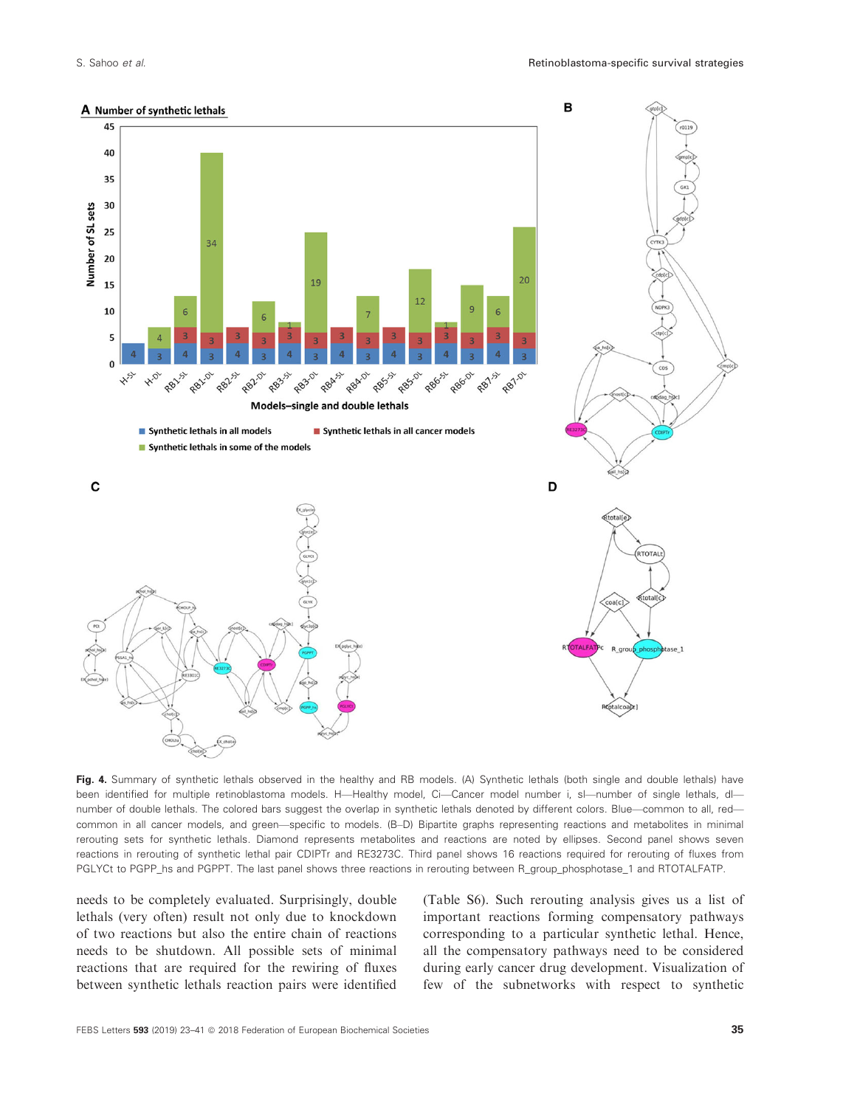<span id="page-12-0"></span>

Fig. 4. Summary of synthetic lethals observed in the healthy and RB models. (A) Synthetic lethals (both single and double lethals) have been identified for multiple retinoblastoma models. H—Healthy model, Ci—Cancer model number i, sl—number of single lethals, dl number of double lethals. The colored bars suggest the overlap in synthetic lethals denoted by different colors. Blue—common to all, red common in all cancer models, and green—specific to models. (B–D) Bipartite graphs representing reactions and metabolites in minimal rerouting sets for synthetic lethals. Diamond represents metabolites and reactions are noted by ellipses. Second panel shows seven reactions in rerouting of synthetic lethal pair CDIPTr and RE3273C. Third panel shows 16 reactions required for rerouting of fluxes from PGLYCt to PGPP\_hs and PGPPT. The last panel shows three reactions in rerouting between R\_group\_phosphotase\_1 and RTOTALFATP.

needs to be completely evaluated. Surprisingly, double lethals (very often) result not only due to knockdown of two reactions but also the entire chain of reactions needs to be shutdown. All possible sets of minimal reactions that are required for the rewiring of fluxes between synthetic lethals reaction pairs were identified

(Table S6). Such rerouting analysis gives us a list of important reactions forming compensatory pathways corresponding to a particular synthetic lethal. Hence, all the compensatory pathways need to be considered during early cancer drug development. Visualization of few of the subnetworks with respect to synthetic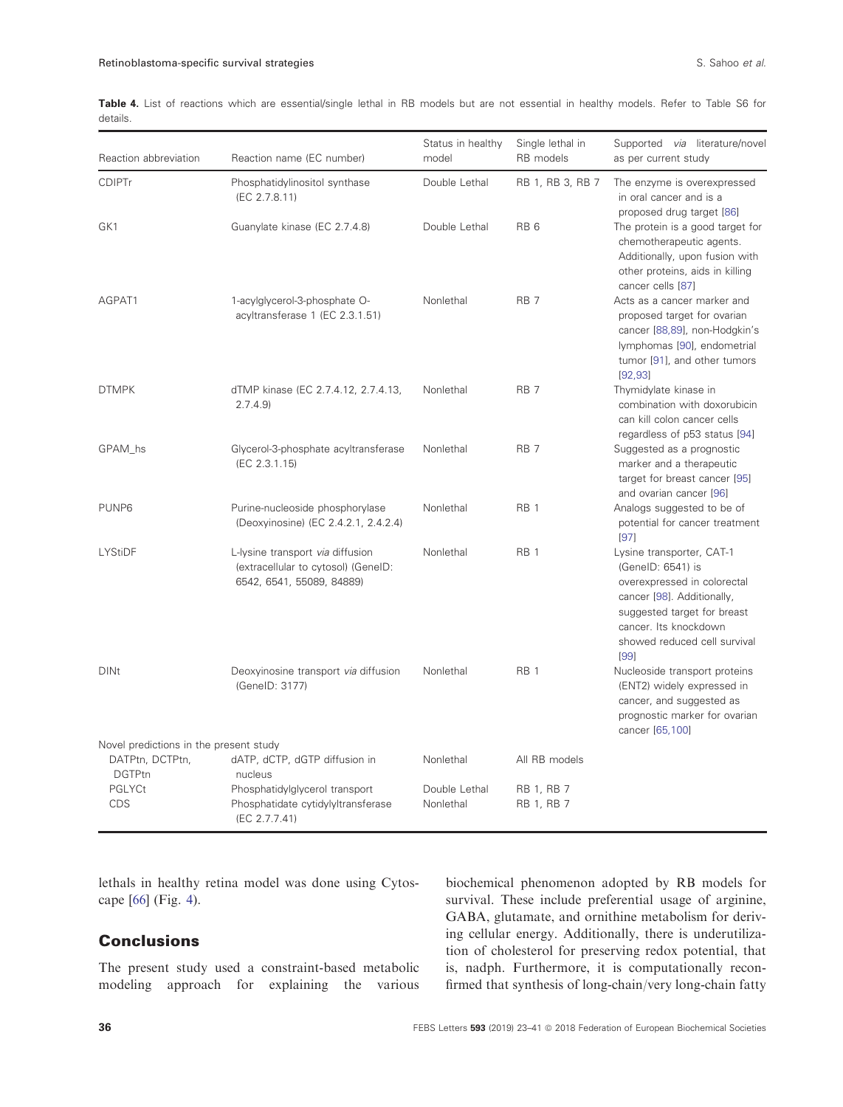<span id="page-13-0"></span>Table 4. List of reactions which are essential/single lethal in RB models but are not essential in healthy models. Refer to Table S6 for details.

| Reaction abbreviation                  | Reaction name (EC number)                                                                            | Status in healthy<br>model | Single lethal in<br>RB models   | Supported via literature/novel<br>as per current study                                                                                                                                                      |
|----------------------------------------|------------------------------------------------------------------------------------------------------|----------------------------|---------------------------------|-------------------------------------------------------------------------------------------------------------------------------------------------------------------------------------------------------------|
| <b>CDIPTr</b>                          | Phosphatidylinositol synthase<br>(EC 2.7.8.11)                                                       | Double Lethal              | RB 1, RB 3, RB 7                | The enzyme is overexpressed<br>in oral cancer and is a<br>proposed drug target [86]                                                                                                                         |
| GK1                                    | Guanylate kinase (EC 2.7.4.8)                                                                        | Double Lethal              | RB <sub>6</sub>                 | The protein is a good target for<br>chemotherapeutic agents.<br>Additionally, upon fusion with<br>other proteins, aids in killing<br>cancer cells [87]                                                      |
| AGPAT1                                 | 1-acylglycerol-3-phosphate O-<br>acyltransferase 1 (EC 2.3.1.51)                                     | Nonlethal                  | RB <sub>7</sub>                 | Acts as a cancer marker and<br>proposed target for ovarian<br>cancer [88,89], non-Hodgkin's<br>lymphomas [90], endometrial<br>tumor [91], and other tumors<br>[92, 93]                                      |
| <b>DTMPK</b>                           | dTMP kinase (EC 2.7.4.12, 2.7.4.13,<br>2.7.4.9                                                       | Nonlethal                  | RB <sub>7</sub>                 | Thymidylate kinase in<br>combination with doxorubicin<br>can kill colon cancer cells<br>regardless of p53 status [94]                                                                                       |
| GPAM hs                                | Glycerol-3-phosphate acyltransferase<br>(EC 2.3.1.15)                                                | Nonlethal                  | RB <sub>7</sub>                 | Suggested as a prognostic<br>marker and a therapeutic<br>target for breast cancer [95]<br>and ovarian cancer [96]                                                                                           |
| PUNP <sub>6</sub>                      | Purine-nucleoside phosphorylase<br>(Deoxyinosine) (EC 2.4.2.1, 2.4.2.4)                              | Nonlethal                  | RB <sub>1</sub>                 | Analogs suggested to be of<br>potential for cancer treatment<br>[97]                                                                                                                                        |
| LYStiDF                                | L-lysine transport via diffusion<br>(extracellular to cytosol) (GeneID:<br>6542, 6541, 55089, 84889) | Nonlethal                  | RB <sub>1</sub>                 | Lysine transporter, CAT-1<br>(GeneID: 6541) is<br>overexpressed in colorectal<br>cancer [98]. Additionally,<br>suggested target for breast<br>cancer. Its knockdown<br>showed reduced cell survival<br>[99] |
| <b>DINt</b>                            | Deoxyinosine transport via diffusion<br>(GenelD: 3177)                                               | Nonlethal                  | RB <sub>1</sub>                 | Nucleoside transport proteins<br>(ENT2) widely expressed in<br>cancer, and suggested as<br>prognostic marker for ovarian<br>cancer [65,100]                                                                 |
| Novel predictions in the present study |                                                                                                      |                            |                                 |                                                                                                                                                                                                             |
| DATPtn, DCTPtn,<br><b>DGTPtn</b>       | dATP, dCTP, dGTP diffusion in<br>nucleus                                                             | Nonlethal                  | All RB models                   |                                                                                                                                                                                                             |
| PGLYCt<br><b>CDS</b>                   | Phosphatidylglycerol transport<br>Phosphatidate cytidylyltransferase<br>(EC 2.7.7.41)                | Double Lethal<br>Nonlethal | RB 1, RB 7<br><b>RB 1, RB 7</b> |                                                                                                                                                                                                             |

lethals in healthy retina model was done using Cytoscape [[66](#page-16-0)] (Fig. [4](#page-12-0)).

# **Conclusions**

The present study used a constraint-based metabolic modeling approach for explaining the various

biochemical phenomenon adopted by RB models for survival. These include preferential usage of arginine, GABA, glutamate, and ornithine metabolism for deriving cellular energy. Additionally, there is underutilization of cholesterol for preserving redox potential, that is, nadph. Furthermore, it is computationally reconfirmed that synthesis of long-chain/very long-chain fatty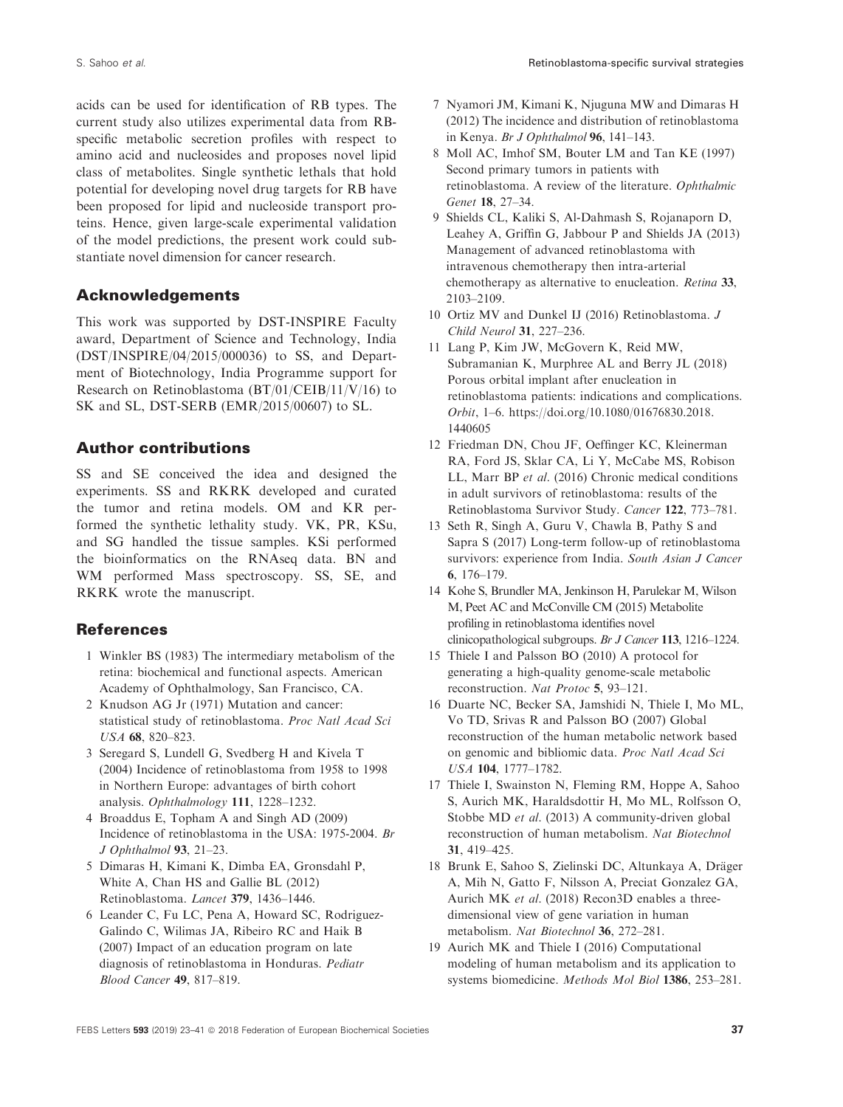<span id="page-14-0"></span>acids can be used for identification of RB types. The current study also utilizes experimental data from RBspecific metabolic secretion profiles with respect to amino acid and nucleosides and proposes novel lipid class of metabolites. Single synthetic lethals that hold potential for developing novel drug targets for RB have been proposed for lipid and nucleoside transport proteins. Hence, given large-scale experimental validation of the model predictions, the present work could substantiate novel dimension for cancer research.

# Acknowledgements

This work was supported by DST-INSPIRE Faculty award, Department of Science and Technology, India (DST/INSPIRE/04/2015/000036) to SS, and Department of Biotechnology, India Programme support for Research on Retinoblastoma (BT/01/CEIB/11/V/16) to SK and SL, DST-SERB (EMR/2015/00607) to SL.

# Author contributions

SS and SE conceived the idea and designed the experiments. SS and RKRK developed and curated the tumor and retina models. OM and KR performed the synthetic lethality study. VK, PR, KSu, and SG handled the tissue samples. KSi performed the bioinformatics on the RNAseq data. BN and WM performed Mass spectroscopy. SS, SE, and RKRK wrote the manuscript.

# References

- 1 Winkler BS (1983) The intermediary metabolism of the retina: biochemical and functional aspects. American Academy of Ophthalmology, San Francisco, CA.
- 2 Knudson AG Jr (1971) Mutation and cancer: statistical study of retinoblastoma. Proc Natl Acad Sci USA 68, 820–823.
- 3 Seregard S, Lundell G, Svedberg H and Kivela T (2004) Incidence of retinoblastoma from 1958 to 1998 in Northern Europe: advantages of birth cohort analysis. Ophthalmology 111, 1228–1232.
- 4 Broaddus E, Topham A and Singh AD (2009) Incidence of retinoblastoma in the USA: 1975-2004. Br J Ophthalmol 93, 21–23.
- 5 Dimaras H, Kimani K, Dimba EA, Gronsdahl P, White A, Chan HS and Gallie BL (2012) Retinoblastoma. Lancet 379, 1436–1446.
- 6 Leander C, Fu LC, Pena A, Howard SC, Rodriguez-Galindo C, Wilimas JA, Ribeiro RC and Haik B (2007) Impact of an education program on late diagnosis of retinoblastoma in Honduras. Pediatr Blood Cancer 49, 817–819.
- 7 Nyamori JM, Kimani K, Njuguna MW and Dimaras H (2012) The incidence and distribution of retinoblastoma in Kenya. Br J Ophthalmol 96, 141–143.
- 8 Moll AC, Imhof SM, Bouter LM and Tan KE (1997) Second primary tumors in patients with retinoblastoma. A review of the literature. Ophthalmic Genet 18, 27–34.
- 9 Shields CL, Kaliki S, Al-Dahmash S, Rojanaporn D, Leahey A, Griffin G, Jabbour P and Shields JA (2013) Management of advanced retinoblastoma with intravenous chemotherapy then intra-arterial chemotherapy as alternative to enucleation. Retina 33, 2103–2109.
- 10 Ortiz MV and Dunkel IJ (2016) Retinoblastoma. J Child Neurol 31, 227–236.
- 11 Lang P, Kim JW, McGovern K, Reid MW, Subramanian K, Murphree AL and Berry JL (2018) Porous orbital implant after enucleation in retinoblastoma patients: indications and complications. Orbit, 1–6. [https://doi.org/10.1080/01676830.2018.](https://doi.org/10.1080/01676830.2018.1440605) [1440605](https://doi.org/10.1080/01676830.2018.1440605)
- 12 Friedman DN, Chou JF, Oeffinger KC, Kleinerman RA, Ford JS, Sklar CA, Li Y, McCabe MS, Robison LL, Marr BP et al. (2016) Chronic medical conditions in adult survivors of retinoblastoma: results of the Retinoblastoma Survivor Study. Cancer 122, 773–781.
- 13 Seth R, Singh A, Guru V, Chawla B, Pathy S and Sapra S (2017) Long-term follow-up of retinoblastoma survivors: experience from India. South Asian J Cancer 6, 176–179.
- 14 Kohe S, Brundler MA, Jenkinson H, Parulekar M, Wilson M, Peet AC and McConville CM (2015) Metabolite profiling in retinoblastoma identifies novel clinicopathological subgroups. Br J Cancer 113, 1216–1224.
- 15 Thiele I and Palsson BO (2010) A protocol for generating a high-quality genome-scale metabolic reconstruction. Nat Protoc 5, 93–121.
- 16 Duarte NC, Becker SA, Jamshidi N, Thiele I, Mo ML, Vo TD, Srivas R and Palsson BO (2007) Global reconstruction of the human metabolic network based on genomic and bibliomic data. Proc Natl Acad Sci USA 104, 1777–1782.
- 17 Thiele I, Swainston N, Fleming RM, Hoppe A, Sahoo S, Aurich MK, Haraldsdottir H, Mo ML, Rolfsson O, Stobbe MD et al. (2013) A community-driven global reconstruction of human metabolism. Nat Biotechnol 31, 419–425.
- 18 Brunk E, Sahoo S, Zielinski DC, Altunkaya A, Dräger A, Mih N, Gatto F, Nilsson A, Preciat Gonzalez GA, Aurich MK et al. (2018) Recon3D enables a threedimensional view of gene variation in human metabolism. Nat Biotechnol 36, 272–281.
- 19 Aurich MK and Thiele I (2016) Computational modeling of human metabolism and its application to systems biomedicine. Methods Mol Biol 1386, 253–281.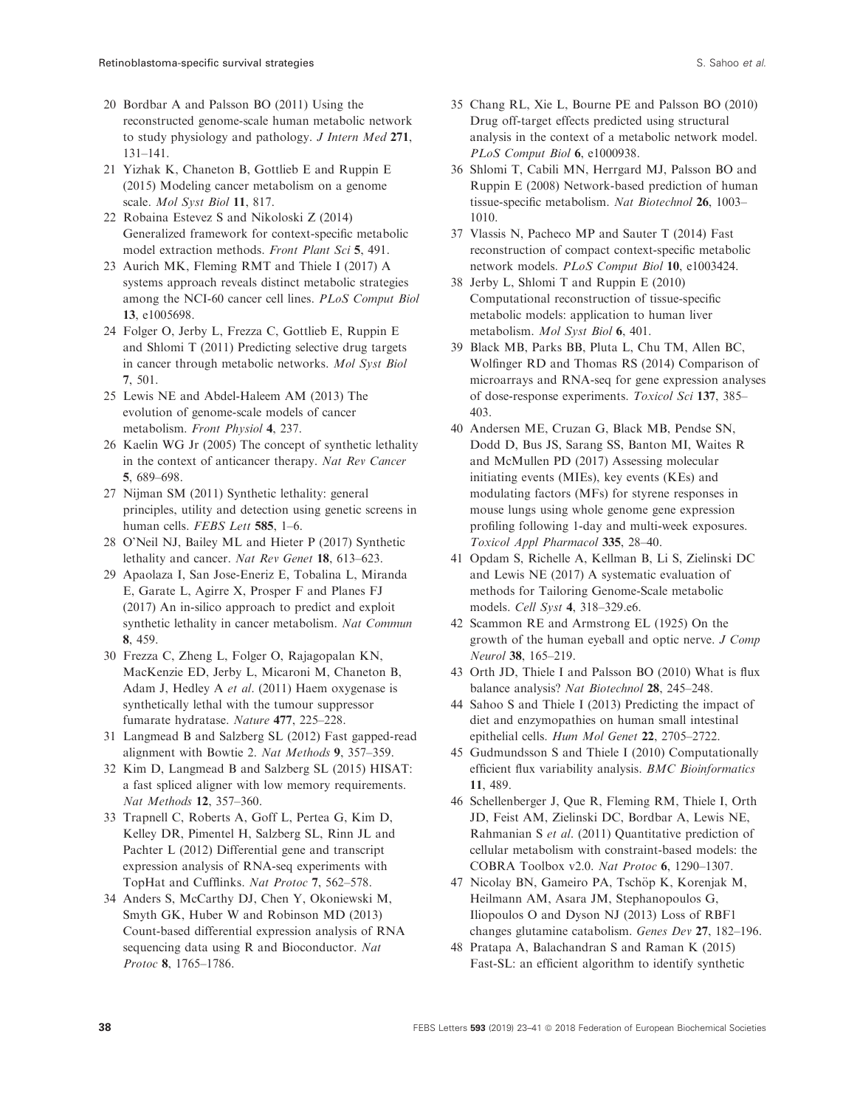- <span id="page-15-0"></span>20 Bordbar A and Palsson BO (2011) Using the reconstructed genome-scale human metabolic network to study physiology and pathology. J Intern Med 271, 131–141.
- 21 Yizhak K, Chaneton B, Gottlieb E and Ruppin E (2015) Modeling cancer metabolism on a genome scale. Mol Syst Biol 11, 817.
- 22 Robaina Estevez S and Nikoloski Z (2014) Generalized framework for context-specific metabolic model extraction methods. Front Plant Sci 5, 491.
- 23 Aurich MK, Fleming RMT and Thiele I (2017) A systems approach reveals distinct metabolic strategies among the NCI-60 cancer cell lines. PLoS Comput Biol 13, e1005698.
- 24 Folger O, Jerby L, Frezza C, Gottlieb E, Ruppin E and Shlomi T (2011) Predicting selective drug targets in cancer through metabolic networks. Mol Syst Biol 7, 501.
- 25 Lewis NE and Abdel-Haleem AM (2013) The evolution of genome-scale models of cancer metabolism. Front Physiol 4, 237.
- 26 Kaelin WG Jr (2005) The concept of synthetic lethality in the context of anticancer therapy. Nat Rev Cancer 5, 689–698.
- 27 Nijman SM (2011) Synthetic lethality: general principles, utility and detection using genetic screens in human cells. FEBS Lett 585, 1-6.
- 28 O'Neil NJ, Bailey ML and Hieter P (2017) Synthetic lethality and cancer. Nat Rev Genet 18, 613–623.
- 29 Apaolaza I, San Jose-Eneriz E, Tobalina L, Miranda E, Garate L, Agirre X, Prosper F and Planes FJ (2017) An in-silico approach to predict and exploit synthetic lethality in cancer metabolism. Nat Commun 8, 459.
- 30 Frezza C, Zheng L, Folger O, Rajagopalan KN, MacKenzie ED, Jerby L, Micaroni M, Chaneton B, Adam J, Hedley A et al. (2011) Haem oxygenase is synthetically lethal with the tumour suppressor fumarate hydratase. Nature 477, 225–228.
- 31 Langmead B and Salzberg SL (2012) Fast gapped-read alignment with Bowtie 2. Nat Methods 9, 357–359.
- 32 Kim D, Langmead B and Salzberg SL (2015) HISAT: a fast spliced aligner with low memory requirements. Nat Methods 12, 357–360.
- 33 Trapnell C, Roberts A, Goff L, Pertea G, Kim D, Kelley DR, Pimentel H, Salzberg SL, Rinn JL and Pachter L (2012) Differential gene and transcript expression analysis of RNA-seq experiments with TopHat and Cufflinks. Nat Protoc 7, 562–578.
- 34 Anders S, McCarthy DJ, Chen Y, Okoniewski M, Smyth GK, Huber W and Robinson MD (2013) Count-based differential expression analysis of RNA sequencing data using R and Bioconductor. Nat Protoc 8, 1765–1786.
- 35 Chang RL, Xie L, Bourne PE and Palsson BO (2010) Drug off-target effects predicted using structural analysis in the context of a metabolic network model. PLoS Comput Biol 6, e1000938.
- 36 Shlomi T, Cabili MN, Herrgard MJ, Palsson BO and Ruppin E (2008) Network-based prediction of human tissue-specific metabolism. Nat Biotechnol 26, 1003– 1010.
- 37 Vlassis N, Pacheco MP and Sauter T (2014) Fast reconstruction of compact context-specific metabolic network models. PLoS Comput Biol 10, e1003424.
- 38 Jerby L, Shlomi T and Ruppin E (2010) Computational reconstruction of tissue-specific metabolic models: application to human liver metabolism. Mol Syst Biol 6, 401.
- 39 Black MB, Parks BB, Pluta L, Chu TM, Allen BC, Wolfinger RD and Thomas RS (2014) Comparison of microarrays and RNA-seq for gene expression analyses of dose-response experiments. Toxicol Sci 137, 385– 403.
- 40 Andersen ME, Cruzan G, Black MB, Pendse SN, Dodd D, Bus JS, Sarang SS, Banton MI, Waites R and McMullen PD (2017) Assessing molecular initiating events (MIEs), key events (KEs) and modulating factors (MFs) for styrene responses in mouse lungs using whole genome gene expression profiling following 1-day and multi-week exposures. Toxicol Appl Pharmacol 335, 28–40.
- 41 Opdam S, Richelle A, Kellman B, Li S, Zielinski DC and Lewis NE (2017) A systematic evaluation of methods for Tailoring Genome-Scale metabolic models. Cell Syst 4, 318–329.e6.
- 42 Scammon RE and Armstrong EL (1925) On the growth of the human eyeball and optic nerve. J Comp Neurol 38, 165–219.
- 43 Orth JD, Thiele I and Palsson BO (2010) What is flux balance analysis? Nat Biotechnol 28, 245–248.
- 44 Sahoo S and Thiele I (2013) Predicting the impact of diet and enzymopathies on human small intestinal epithelial cells. Hum Mol Genet 22, 2705–2722.
- 45 Gudmundsson S and Thiele I (2010) Computationally efficient flux variability analysis. BMC Bioinformatics 11, 489.
- 46 Schellenberger J, Que R, Fleming RM, Thiele I, Orth JD, Feist AM, Zielinski DC, Bordbar A, Lewis NE, Rahmanian S et al. (2011) Quantitative prediction of cellular metabolism with constraint-based models: the COBRA Toolbox v2.0. Nat Protoc 6, 1290–1307.
- 47 Nicolay BN, Gameiro PA, Tschöp K, Korenjak M, Heilmann AM, Asara JM, Stephanopoulos G, Iliopoulos O and Dyson NJ (2013) Loss of RBF1 changes glutamine catabolism. Genes Dev 27, 182–196.
- 48 Pratapa A, Balachandran S and Raman K (2015) Fast-SL: an efficient algorithm to identify synthetic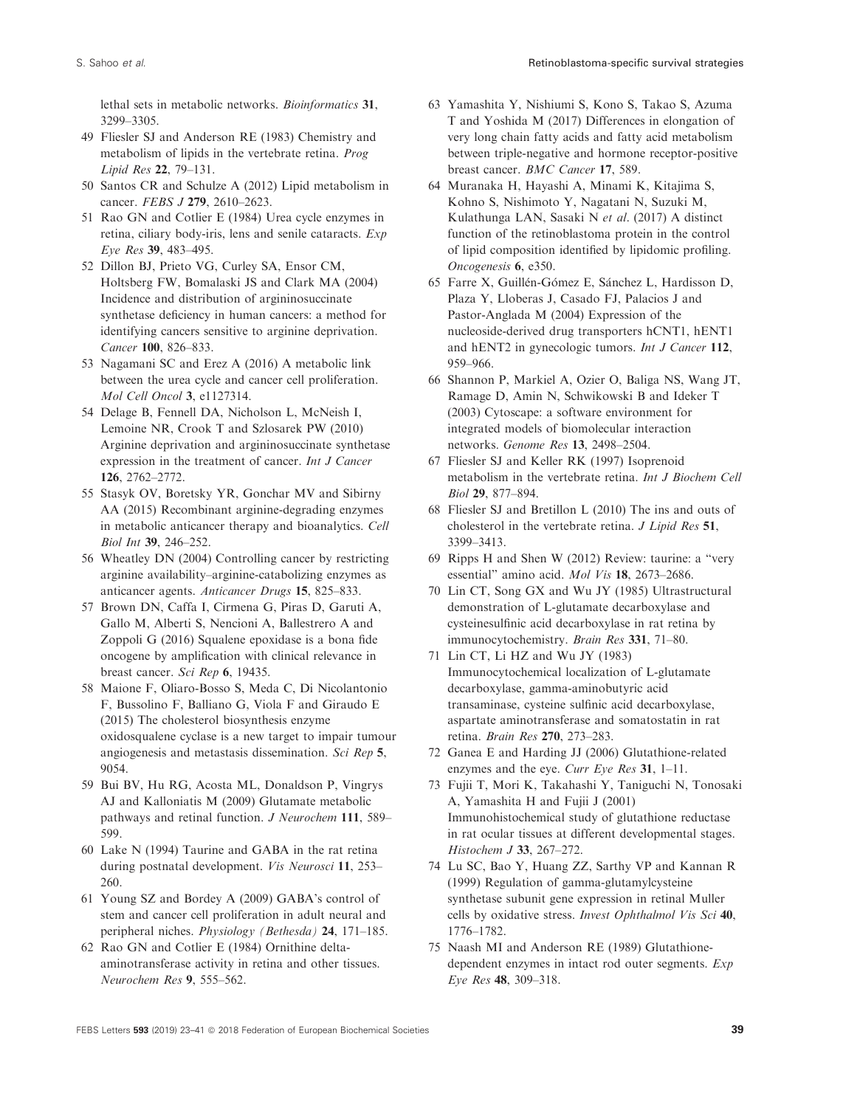<span id="page-16-0"></span>lethal sets in metabolic networks. Bioinformatics 31, 3299–3305.

- 49 Fliesler SJ and Anderson RE (1983) Chemistry and metabolism of lipids in the vertebrate retina. Prog Lipid Res 22, 79–131.
- 50 Santos CR and Schulze A (2012) Lipid metabolism in cancer. FEBS J 279, 2610–2623.
- 51 Rao GN and Cotlier E (1984) Urea cycle enzymes in retina, ciliary body-iris, lens and senile cataracts. Exp Eye Res 39, 483–495.
- 52 Dillon BJ, Prieto VG, Curley SA, Ensor CM, Holtsberg FW, Bomalaski JS and Clark MA (2004) Incidence and distribution of argininosuccinate synthetase deficiency in human cancers: a method for identifying cancers sensitive to arginine deprivation. Cancer 100, 826–833.
- 53 Nagamani SC and Erez A (2016) A metabolic link between the urea cycle and cancer cell proliferation. Mol Cell Oncol 3, e1127314.
- 54 Delage B, Fennell DA, Nicholson L, McNeish I, Lemoine NR, Crook T and Szlosarek PW (2010) Arginine deprivation and argininosuccinate synthetase expression in the treatment of cancer. Int J Cancer 126, 2762–2772.
- 55 Stasyk OV, Boretsky YR, Gonchar MV and Sibirny AA (2015) Recombinant arginine-degrading enzymes in metabolic anticancer therapy and bioanalytics. Cell Biol Int 39, 246–252.
- 56 Wheatley DN (2004) Controlling cancer by restricting arginine availability–arginine-catabolizing enzymes as anticancer agents. Anticancer Drugs 15, 825–833.
- 57 Brown DN, Caffa I, Cirmena G, Piras D, Garuti A, Gallo M, Alberti S, Nencioni A, Ballestrero A and Zoppoli G (2016) Squalene epoxidase is a bona fide oncogene by amplification with clinical relevance in breast cancer. Sci Rep 6, 19435.
- 58 Maione F, Oliaro-Bosso S, Meda C, Di Nicolantonio F, Bussolino F, Balliano G, Viola F and Giraudo E (2015) The cholesterol biosynthesis enzyme oxidosqualene cyclase is a new target to impair tumour angiogenesis and metastasis dissemination. Sci Rep 5, 9054.
- 59 Bui BV, Hu RG, Acosta ML, Donaldson P, Vingrys AJ and Kalloniatis M (2009) Glutamate metabolic pathways and retinal function. J Neurochem 111, 589– 599.
- 60 Lake N (1994) Taurine and GABA in the rat retina during postnatal development. Vis Neurosci 11, 253– 260.
- 61 Young SZ and Bordey A (2009) GABA's control of stem and cancer cell proliferation in adult neural and peripheral niches. Physiology (Bethesda) 24, 171–185.
- 62 Rao GN and Cotlier E (1984) Ornithine deltaaminotransferase activity in retina and other tissues. Neurochem Res 9, 555–562.
- 63 Yamashita Y, Nishiumi S, Kono S, Takao S, Azuma T and Yoshida M (2017) Differences in elongation of very long chain fatty acids and fatty acid metabolism between triple-negative and hormone receptor-positive breast cancer. BMC Cancer 17, 589.
- 64 Muranaka H, Hayashi A, Minami K, Kitajima S, Kohno S, Nishimoto Y, Nagatani N, Suzuki M, Kulathunga LAN, Sasaki N et al. (2017) A distinct function of the retinoblastoma protein in the control of lipid composition identified by lipidomic profiling. Oncogenesis 6, e350.
- 65 Farre X, Guillén-Gómez E, Sánchez L, Hardisson D, Plaza Y, Lloberas J, Casado FJ, Palacios J and Pastor-Anglada M (2004) Expression of the nucleoside-derived drug transporters hCNT1, hENT1 and hENT2 in gynecologic tumors. Int J Cancer 112, 959–966.
- 66 Shannon P, Markiel A, Ozier O, Baliga NS, Wang JT, Ramage D, Amin N, Schwikowski B and Ideker T (2003) Cytoscape: a software environment for integrated models of biomolecular interaction networks. Genome Res 13, 2498–2504.
- 67 Fliesler SJ and Keller RK (1997) Isoprenoid metabolism in the vertebrate retina. Int J Biochem Cell Biol 29, 877–894.
- 68 Fliesler SJ and Bretillon L (2010) The ins and outs of cholesterol in the vertebrate retina. J Lipid Res 51, 3399–3413.
- 69 Ripps H and Shen W (2012) Review: taurine: a "very essential" amino acid. Mol Vis 18, 2673–2686.
- 70 Lin CT, Song GX and Wu JY (1985) Ultrastructural demonstration of L-glutamate decarboxylase and cysteinesulfinic acid decarboxylase in rat retina by immunocytochemistry. Brain Res 331, 71–80.
- 71 Lin CT, Li HZ and Wu JY (1983) Immunocytochemical localization of L-glutamate decarboxylase, gamma-aminobutyric acid transaminase, cysteine sulfinic acid decarboxylase, aspartate aminotransferase and somatostatin in rat retina. Brain Res 270, 273–283.
- 72 Ganea E and Harding JJ (2006) Glutathione-related enzymes and the eye. Curr Eye Res 31, 1–11.
- 73 Fujii T, Mori K, Takahashi Y, Taniguchi N, Tonosaki A, Yamashita H and Fujii J (2001) Immunohistochemical study of glutathione reductase in rat ocular tissues at different developmental stages. Histochem J 33, 267–272.
- 74 Lu SC, Bao Y, Huang ZZ, Sarthy VP and Kannan R (1999) Regulation of gamma-glutamylcysteine synthetase subunit gene expression in retinal Muller cells by oxidative stress. Invest Ophthalmol Vis Sci 40, 1776–1782.
- 75 Naash MI and Anderson RE (1989) Glutathionedependent enzymes in intact rod outer segments. Exp Eye Res 48, 309–318.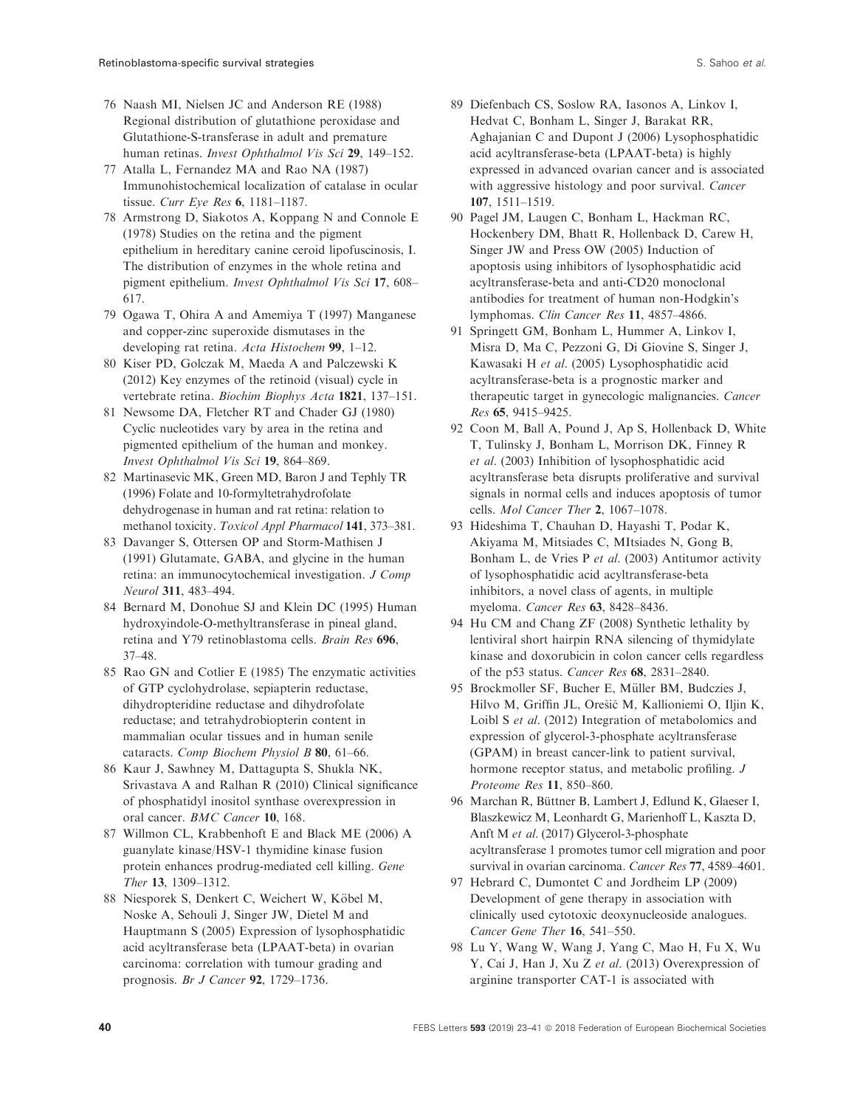- <span id="page-17-0"></span>76 Naash MI, Nielsen JC and Anderson RE (1988) Regional distribution of glutathione peroxidase and Glutathione-S-transferase in adult and premature human retinas. Invest Ophthalmol Vis Sci 29, 149–152.
- 77 Atalla L, Fernandez MA and Rao NA (1987) Immunohistochemical localization of catalase in ocular tissue. Curr Eye Res 6, 1181–1187.
- 78 Armstrong D, Siakotos A, Koppang N and Connole E (1978) Studies on the retina and the pigment epithelium in hereditary canine ceroid lipofuscinosis, I. The distribution of enzymes in the whole retina and pigment epithelium. Invest Ophthalmol Vis Sci 17, 608– 617.
- 79 Ogawa T, Ohira A and Amemiya T (1997) Manganese and copper-zinc superoxide dismutases in the developing rat retina. Acta Histochem 99, 1–12.
- 80 Kiser PD, Golczak M, Maeda A and Palczewski K (2012) Key enzymes of the retinoid (visual) cycle in vertebrate retina. Biochim Biophys Acta 1821, 137–151.
- 81 Newsome DA, Fletcher RT and Chader GJ (1980) Cyclic nucleotides vary by area in the retina and pigmented epithelium of the human and monkey. Invest Ophthalmol Vis Sci 19, 864–869.
- 82 Martinasevic MK, Green MD, Baron J and Tephly TR (1996) Folate and 10-formyltetrahydrofolate dehydrogenase in human and rat retina: relation to methanol toxicity. Toxicol Appl Pharmacol 141, 373–381.
- 83 Davanger S, Ottersen OP and Storm-Mathisen J (1991) Glutamate, GABA, and glycine in the human retina: an immunocytochemical investigation. J Comp Neurol 311, 483–494.
- 84 Bernard M, Donohue SJ and Klein DC (1995) Human hydroxyindole-O-methyltransferase in pineal gland, retina and Y79 retinoblastoma cells. Brain Res 696, 37–48.
- 85 Rao GN and Cotlier E (1985) The enzymatic activities of GTP cyclohydrolase, sepiapterin reductase, dihydropteridine reductase and dihydrofolate reductase; and tetrahydrobiopterin content in mammalian ocular tissues and in human senile cataracts. Comp Biochem Physiol B 80, 61–66.
- 86 Kaur J, Sawhney M, Dattagupta S, Shukla NK, Srivastava A and Ralhan R (2010) Clinical significance of phosphatidyl inositol synthase overexpression in oral cancer. BMC Cancer 10, 168.
- 87 Willmon CL, Krabbenhoft E and Black ME (2006) A guanylate kinase/HSV-1 thymidine kinase fusion protein enhances prodrug-mediated cell killing. Gene Ther 13, 1309–1312.
- 88 Niesporek S, Denkert C, Weichert W, Köbel M, Noske A, Sehouli J, Singer JW, Dietel M and Hauptmann S (2005) Expression of lysophosphatidic acid acyltransferase beta (LPAAT-beta) in ovarian carcinoma: correlation with tumour grading and prognosis. Br J Cancer 92, 1729–1736.
- 89 Diefenbach CS, Soslow RA, Iasonos A, Linkov I, Hedvat C, Bonham L, Singer J, Barakat RR, Aghajanian C and Dupont J (2006) Lysophosphatidic acid acyltransferase-beta (LPAAT-beta) is highly expressed in advanced ovarian cancer and is associated with aggressive histology and poor survival. Cancer 107, 1511–1519.
- 90 Pagel JM, Laugen C, Bonham L, Hackman RC, Hockenbery DM, Bhatt R, Hollenback D, Carew H, Singer JW and Press OW (2005) Induction of apoptosis using inhibitors of lysophosphatidic acid acyltransferase-beta and anti-CD20 monoclonal antibodies for treatment of human non-Hodgkin's lymphomas. Clin Cancer Res 11, 4857–4866.
- 91 Springett GM, Bonham L, Hummer A, Linkov I, Misra D, Ma C, Pezzoni G, Di Giovine S, Singer J, Kawasaki H et al. (2005) Lysophosphatidic acid acyltransferase-beta is a prognostic marker and therapeutic target in gynecologic malignancies. Cancer Res 65, 9415–9425.
- 92 Coon M, Ball A, Pound J, Ap S, Hollenback D, White T, Tulinsky J, Bonham L, Morrison DK, Finney R et al. (2003) Inhibition of lysophosphatidic acid acyltransferase beta disrupts proliferative and survival signals in normal cells and induces apoptosis of tumor cells. Mol Cancer Ther 2, 1067–1078.
- 93 Hideshima T, Chauhan D, Hayashi T, Podar K, Akiyama M, Mitsiades C, MItsiades N, Gong B, Bonham L, de Vries P et al. (2003) Antitumor activity of lysophosphatidic acid acyltransferase-beta inhibitors, a novel class of agents, in multiple myeloma. Cancer Res 63, 8428–8436.
- 94 Hu CM and Chang ZF (2008) Synthetic lethality by lentiviral short hairpin RNA silencing of thymidylate kinase and doxorubicin in colon cancer cells regardless of the p53 status. Cancer Res 68, 2831–2840.
- 95 Brockmoller SF, Bucher E, Müller BM, Budczies J, Hilvo M, Griffin JL, Oresic M, Kallioniemi O, Iljin K, Loibl S et al. (2012) Integration of metabolomics and expression of glycerol-3-phosphate acyltransferase (GPAM) in breast cancer-link to patient survival, hormone receptor status, and metabolic profiling. J Proteome Res 11, 850–860.
- 96 Marchan R, Büttner B, Lambert J, Edlund K, Glaeser I, Blaszkewicz M, Leonhardt G, Marienhoff L, Kaszta D, Anft M et al. (2017) Glycerol-3-phosphate acyltransferase 1 promotes tumor cell migration and poor survival in ovarian carcinoma. Cancer Res 77, 4589–4601.
- 97 Hebrard C, Dumontet C and Jordheim LP (2009) Development of gene therapy in association with clinically used cytotoxic deoxynucleoside analogues. Cancer Gene Ther 16, 541–550.
- 98 Lu Y, Wang W, Wang J, Yang C, Mao H, Fu X, Wu Y, Cai J, Han J, Xu Z et al. (2013) Overexpression of arginine transporter CAT-1 is associated with